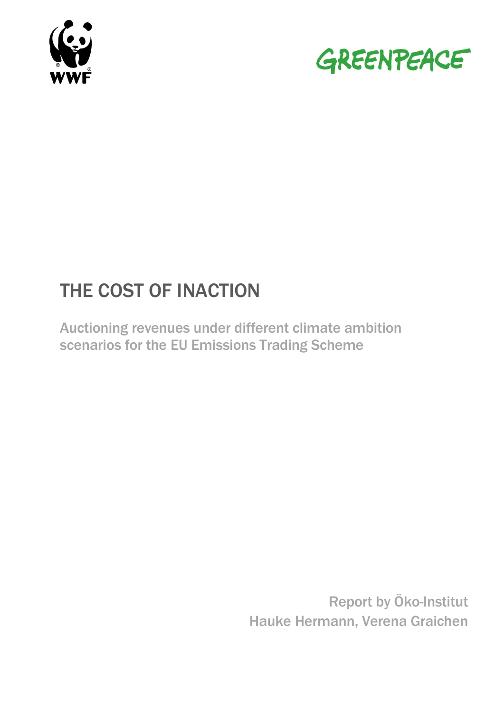



# THE COST OF INACTION

Auctioning revenues under different climate ambition scenarios for the EU Emissions Trading Scheme

> Report by Öko-Institut Hauke Hermann, Verena Graichen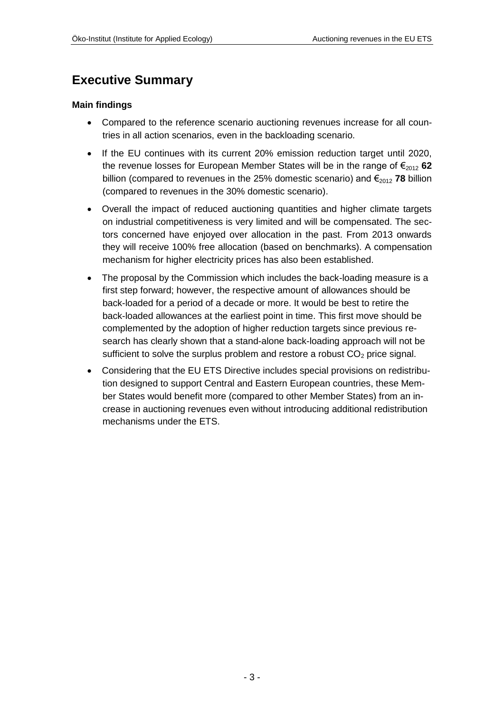# <span id="page-2-0"></span>**Executive Summary**

#### **Main findings**

- Compared to the reference scenario auctioning revenues increase for all countries in all action scenarios, even in the backloading scenario.
- If the EU continues with its current 20% emission reduction target until 2020, the revenue losses for European Member States will be in the range of  $\epsilon_{2012}$  62 billion (compared to revenues in the 25% domestic scenario) and  $\epsilon_{2012}$  **78** billion (compared to revenues in the 30% domestic scenario).
- Overall the impact of reduced auctioning quantities and higher climate targets on industrial competitiveness is very limited and will be compensated. The sectors concerned have enjoyed over allocation in the past. From 2013 onwards they will receive 100% free allocation (based on benchmarks). A compensation mechanism for higher electricity prices has also been established.
- The proposal by the Commission which includes the back-loading measure is a first step forward; however, the respective amount of allowances should be back-loaded for a period of a decade or more. It would be best to retire the back-loaded allowances at the earliest point in time. This first move should be complemented by the adoption of higher reduction targets since previous research has clearly shown that a stand-alone back-loading approach will not be sufficient to solve the surplus problem and restore a robust  $CO<sub>2</sub>$  price signal.
- Considering that the EU ETS Directive includes special provisions on redistribution designed to support Central and Eastern European countries, these Member States would benefit more (compared to other Member States) from an increase in auctioning revenues even without introducing additional redistribution mechanisms under the ETS.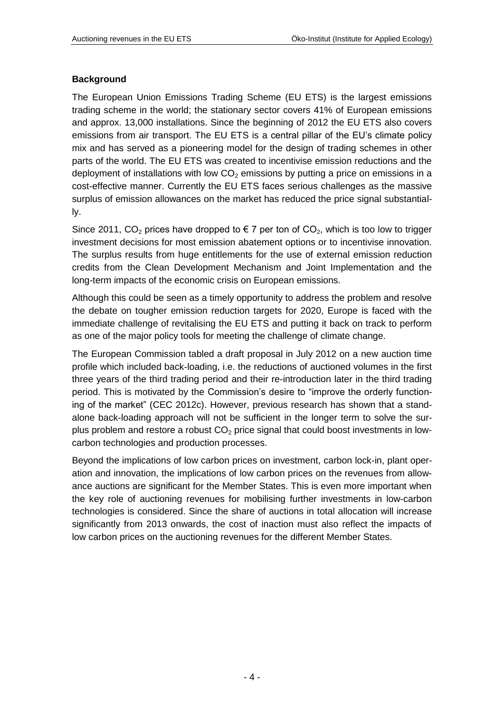### **Background**

The European Union Emissions Trading Scheme (EU ETS) is the largest emissions trading scheme in the world; the stationary sector covers 41% of European emissions and approx. 13,000 installations. Since the beginning of 2012 the EU ETS also covers emissions from air transport. The EU ETS is a central pillar of the EU's climate policy mix and has served as a pioneering model for the design of trading schemes in other parts of the world. The EU ETS was created to incentivise emission reductions and the deployment of installations with low  $CO<sub>2</sub>$  emissions by putting a price on emissions in a cost-effective manner. Currently the EU ETS faces serious challenges as the massive surplus of emission allowances on the market has reduced the price signal substantially.

Since 2011, CO<sub>2</sub> prices have dropped to  $\epsilon$  7 per ton of CO<sub>2</sub>, which is too low to trigger investment decisions for most emission abatement options or to incentivise innovation. The surplus results from huge entitlements for the use of external emission reduction credits from the Clean Development Mechanism and Joint Implementation and the long-term impacts of the economic crisis on European emissions.

Although this could be seen as a timely opportunity to address the problem and resolve the debate on tougher emission reduction targets for 2020, Europe is faced with the immediate challenge of revitalising the EU ETS and putting it back on track to perform as one of the major policy tools for meeting the challenge of climate change.

The European Commission tabled a draft proposal in July 2012 on a new auction time profile which included back-loading, i.e. the reductions of auctioned volumes in the first three years of the third trading period and their re-introduction later in the third trading period. This is motivated by the Commission's desire to "improve the orderly functioning of the market" (CEC 2012c). However, previous research has shown that a standalone back-loading approach will not be sufficient in the longer term to solve the surplus problem and restore a robust  $CO<sub>2</sub>$  price signal that could boost investments in lowcarbon technologies and production processes.

Beyond the implications of low carbon prices on investment, carbon lock-in, plant operation and innovation, the implications of low carbon prices on the revenues from allowance auctions are significant for the Member States. This is even more important when the key role of auctioning revenues for mobilising further investments in low-carbon technologies is considered. Since the share of auctions in total allocation will increase significantly from 2013 onwards, the cost of inaction must also reflect the impacts of low carbon prices on the auctioning revenues for the different Member States.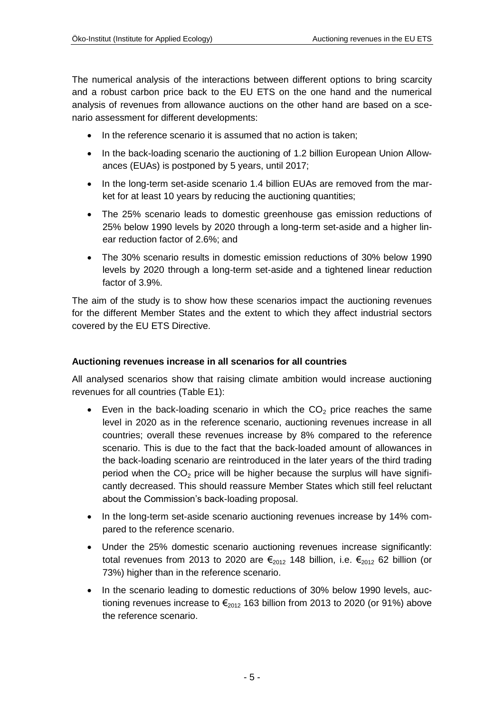The numerical analysis of the interactions between different options to bring scarcity and a robust carbon price back to the EU ETS on the one hand and the numerical analysis of revenues from allowance auctions on the other hand are based on a scenario assessment for different developments:

- In the reference scenario it is assumed that no action is taken;
- In the back-loading scenario the auctioning of 1.2 billion European Union Allowances (EUAs) is postponed by 5 years, until 2017;
- In the long-term set-aside scenario 1.4 billion EUAs are removed from the market for at least 10 years by reducing the auctioning quantities;
- The 25% scenario leads to domestic greenhouse gas emission reductions of 25% below 1990 levels by 2020 through a long-term set-aside and a higher linear reduction factor of 2.6%; and
- The 30% scenario results in domestic emission reductions of 30% below 1990 levels by 2020 through a long-term set-aside and a tightened linear reduction factor of 3.9%.

The aim of the study is to show how these scenarios impact the auctioning revenues for the different Member States and the extent to which they affect industrial sectors covered by the EU ETS Directive.

### **Auctioning revenues increase in all scenarios for all countries**

All analysed scenarios show that raising climate ambition would increase auctioning revenues for all countries (Table E1):

- Even in the back-loading scenario in which the  $CO<sub>2</sub>$  price reaches the same level in 2020 as in the reference scenario, auctioning revenues increase in all countries; overall these revenues increase by 8% compared to the reference scenario. This is due to the fact that the back-loaded amount of allowances in the back-loading scenario are reintroduced in the later years of the third trading period when the  $CO<sub>2</sub>$  price will be higher because the surplus will have significantly decreased. This should reassure Member States which still feel reluctant about the Commission's back-loading proposal.
- In the long-term set-aside scenario auctioning revenues increase by 14% compared to the reference scenario.
- Under the 25% domestic scenario auctioning revenues increase significantly: total revenues from 2013 to 2020 are  $\epsilon_{2012}$  148 billion, i.e.  $\epsilon_{2012}$  62 billion (or 73%) higher than in the reference scenario.
- In the scenario leading to domestic reductions of 30% below 1990 levels, auctioning revenues increase to  $\epsilon_{2012}$  163 billion from 2013 to 2020 (or 91%) above the reference scenario.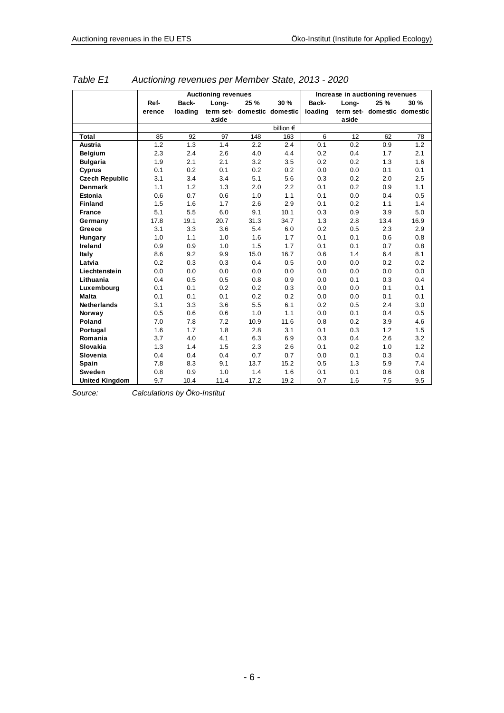|                       | Auctioning revenues |         |       |                             |                    |         | Increase in auctioning revenues |                             |      |  |  |
|-----------------------|---------------------|---------|-------|-----------------------------|--------------------|---------|---------------------------------|-----------------------------|------|--|--|
|                       | Ref-                | Back-   | Long- | 25 %                        | 30 %               | Back-   | Long-                           | 25 %                        | 30 % |  |  |
|                       | erence              | loading |       | term set- domestic domestic |                    | loading |                                 | term set- domestic domestic |      |  |  |
|                       |                     |         | aside |                             |                    |         | aside                           |                             |      |  |  |
|                       |                     |         |       |                             | billion $\epsilon$ |         |                                 |                             |      |  |  |
| Total                 | 85                  | 92      | 97    | 148                         | 163                | 6       | 12                              | 62                          | 78   |  |  |
| Austria               | 1.2                 | 1.3     | 1.4   | 2.2                         | 2.4                | 0.1     | 0.2                             | 0.9                         | 1.2  |  |  |
| <b>Belgium</b>        | 2.3                 | 2.4     | 2.6   | 4.0                         | 4.4                | 0.2     | 0.4                             | 1.7                         | 2.1  |  |  |
| <b>Bulgaria</b>       | 1.9                 | 2.1     | 2.1   | 3.2                         | 3.5                | 0.2     | 0.2                             | 1.3                         | 1.6  |  |  |
| Cyprus                | 0.1                 | 0.2     | 0.1   | 0.2                         | 0.2                | 0.0     | 0.0                             | 0.1                         | 0.1  |  |  |
| <b>Czech Republic</b> | 3.1                 | 3.4     | 3.4   | 5.1                         | 5.6                | 0.3     | 0.2                             | 2.0                         | 2.5  |  |  |
| <b>Denmark</b>        | 1.1                 | 1.2     | 1.3   | 2.0                         | 2.2                | 0.1     | 0.2                             | 0.9                         | 1.1  |  |  |
| Estonia               | 0.6                 | 0.7     | 0.6   | 1.0                         | 1.1                | 0.1     | 0.0                             | 0.4                         | 0.5  |  |  |
| <b>Finland</b>        | 1.5                 | 1.6     | 1.7   | 2.6                         | 2.9                | 0.1     | 0.2                             | 1.1                         | 1.4  |  |  |
| <b>France</b>         | 5.1                 | 5.5     | 6.0   | 9.1                         | 10.1               | 0.3     | 0.9                             | 3.9                         | 5.0  |  |  |
| Germany               | 17.8                | 19.1    | 20.7  | 31.3                        | 34.7               | 1.3     | 2.8                             | 13.4                        | 16.9 |  |  |
| Greece                | 3.1                 | 3.3     | 3.6   | 5.4                         | 6.0                | 0.2     | 0.5                             | 2.3                         | 2.9  |  |  |
| Hungary               | 1.0                 | 1.1     | 1.0   | 1.6                         | 1.7                | 0.1     | 0.1                             | 0.6                         | 0.8  |  |  |
| Ireland               | 0.9                 | 0.9     | 1.0   | 1.5                         | 1.7                | 0.1     | 0.1                             | 0.7                         | 0.8  |  |  |
| Italy                 | 8.6                 | 9.2     | 9.9   | 15.0                        | 16.7               | 0.6     | 1.4                             | 6.4                         | 8.1  |  |  |
| Latvia                | 0.2                 | 0.3     | 0.3   | 0.4                         | 0.5                | 0.0     | 0.0                             | 0.2                         | 0.2  |  |  |
| Liechtenstein         | 0.0                 | 0.0     | 0.0   | 0.0                         | 0.0                | 0.0     | 0.0                             | 0.0                         | 0.0  |  |  |
| Lithuania             | 0.4                 | 0.5     | 0.5   | 0.8                         | 0.9                | 0.0     | 0.1                             | 0.3                         | 0.4  |  |  |
| Luxembourg            | 0.1                 | 0.1     | 0.2   | 0.2                         | 0.3                | 0.0     | 0.0                             | 0.1                         | 0.1  |  |  |
| Malta                 | 0.1                 | 0.1     | 0.1   | 0.2                         | 0.2                | 0.0     | 0.0                             | 0.1                         | 0.1  |  |  |
| <b>Netherlands</b>    | 3.1                 | 3.3     | 3.6   | 5.5                         | 6.1                | 0.2     | 0.5                             | 2.4                         | 3.0  |  |  |
| Norway                | 0.5                 | 0.6     | 0.6   | 1.0                         | 1.1                | 0.0     | 0.1                             | 0.4                         | 0.5  |  |  |
| Poland                | 7.0                 | 7.8     | 7.2   | 10.9                        | 11.6               | 0.8     | 0.2                             | 3.9                         | 4.6  |  |  |
| Portugal              | 1.6                 | 1.7     | 1.8   | 2.8                         | 3.1                | 0.1     | 0.3                             | 1.2                         | 1.5  |  |  |
| Romania               | 3.7                 | 4.0     | 4.1   | 6.3                         | 6.9                | 0.3     | 0.4                             | 2.6                         | 3.2  |  |  |
| Slovakia              | 1.3                 | 1.4     | 1.5   | 2.3                         | 2.6                | 0.1     | 0.2                             | 1.0                         | 1.2  |  |  |
| Slovenia              | 0.4                 | 0.4     | 0.4   | 0.7                         | 0.7                | 0.0     | 0.1                             | 0.3                         | 0.4  |  |  |
| Spain                 | 7.8                 | 8.3     | 9.1   | 13.7                        | 15.2               | 0.5     | 1.3                             | 5.9                         | 7.4  |  |  |
| Sweden                | 0.8                 | 0.9     | 1.0   | 1.4                         | 1.6                | 0.1     | 0.1                             | 0.6                         | 0.8  |  |  |
| <b>United Kingdom</b> | 9.7                 | 10.4    | 11.4  | 17.2                        | 19.2               | 0.7     | 1.6                             | 7.5                         | 9.5  |  |  |

*Table E1 Auctioning revenues per Member State, 2013 - 2020*

*Source: Calculations by Öko-Institut*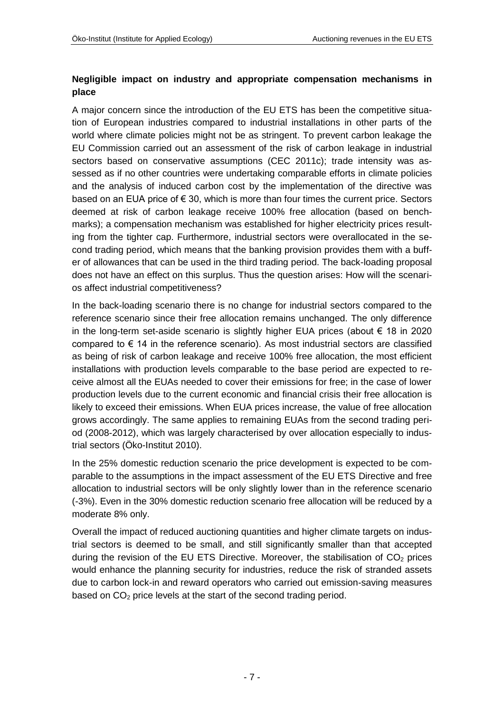### **Negligible impact on industry and appropriate compensation mechanisms in place**

A major concern since the introduction of the EU ETS has been the competitive situation of European industries compared to industrial installations in other parts of the world where climate policies might not be as stringent. To prevent carbon leakage the EU Commission carried out an assessment of the risk of carbon leakage in industrial sectors based on conservative assumptions (CEC 2011c); trade intensity was assessed as if no other countries were undertaking comparable efforts in climate policies and the analysis of induced carbon cost by the implementation of the directive was based on an EUA price of  $\epsilon$  30, which is more than four times the current price. Sectors deemed at risk of carbon leakage receive 100% free allocation (based on benchmarks); a compensation mechanism was established for higher electricity prices resulting from the tighter cap. Furthermore, industrial sectors were overallocated in the second trading period, which means that the banking provision provides them with a buffer of allowances that can be used in the third trading period. The back-loading proposal does not have an effect on this surplus. Thus the question arises: How will the scenarios affect industrial competitiveness?

In the back-loading scenario there is no change for industrial sectors compared to the reference scenario since their free allocation remains unchanged. The only difference in the long-term set-aside scenario is slightly higher EUA prices (about € 18 in 2020 compared to  $\epsilon$  14 in the reference scenario). As most industrial sectors are classified as being of risk of carbon leakage and receive 100% free allocation, the most efficient installations with production levels comparable to the base period are expected to receive almost all the EUAs needed to cover their emissions for free; in the case of lower production levels due to the current economic and financial crisis their free allocation is likely to exceed their emissions. When EUA prices increase, the value of free allocation grows accordingly. The same applies to remaining EUAs from the second trading period (2008-2012), which was largely characterised by over allocation especially to industrial sectors (Öko-Institut 2010).

In the 25% domestic reduction scenario the price development is expected to be comparable to the assumptions in the impact assessment of the EU ETS Directive and free allocation to industrial sectors will be only slightly lower than in the reference scenario (-3%). Even in the 30% domestic reduction scenario free allocation will be reduced by a moderate 8% only.

Overall the impact of reduced auctioning quantities and higher climate targets on industrial sectors is deemed to be small, and still significantly smaller than that accepted during the revision of the EU ETS Directive. Moreover, the stabilisation of  $CO<sub>2</sub>$  prices would enhance the planning security for industries, reduce the risk of stranded assets due to carbon lock-in and reward operators who carried out emission-saving measures based on  $CO<sub>2</sub>$  price levels at the start of the second trading period.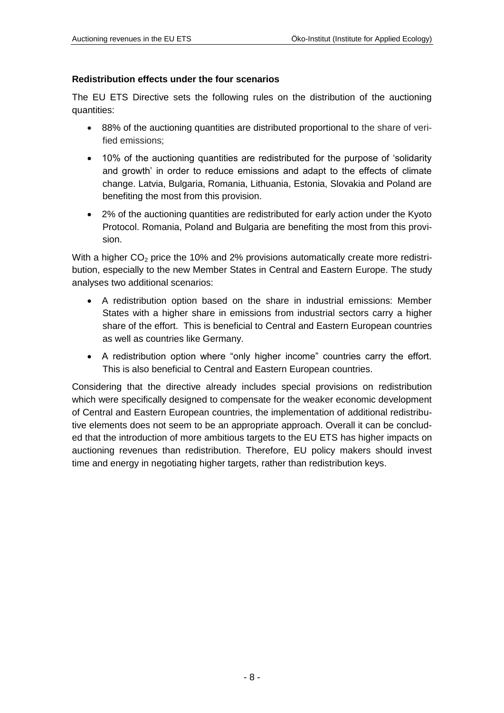#### **Redistribution effects under the four scenarios**

The EU ETS Directive sets the following rules on the distribution of the auctioning quantities:

- 88% of the auctioning quantities are distributed proportional to the share of verified emissions;
- 10% of the auctioning quantities are redistributed for the purpose of 'solidarity and growth' in order to reduce emissions and adapt to the effects of climate change. Latvia, Bulgaria, Romania, Lithuania, Estonia, Slovakia and Poland are benefiting the most from this provision.
- 2% of the auctioning quantities are redistributed for early action under the Kyoto Protocol. Romania, Poland and Bulgaria are benefiting the most from this provision.

With a higher  $CO<sub>2</sub>$  price the 10% and 2% provisions automatically create more redistribution, especially to the new Member States in Central and Eastern Europe. The study analyses two additional scenarios:

- A redistribution option based on the share in industrial emissions: Member States with a higher share in emissions from industrial sectors carry a higher share of the effort. This is beneficial to Central and Eastern European countries as well as countries like Germany.
- A redistribution option where "only higher income" countries carry the effort. This is also beneficial to Central and Eastern European countries.

Considering that the directive already includes special provisions on redistribution which were specifically designed to compensate for the weaker economic development of Central and Eastern European countries, the implementation of additional redistributive elements does not seem to be an appropriate approach. Overall it can be concluded that the introduction of more ambitious targets to the EU ETS has higher impacts on auctioning revenues than redistribution. Therefore, EU policy makers should invest time and energy in negotiating higher targets, rather than redistribution keys.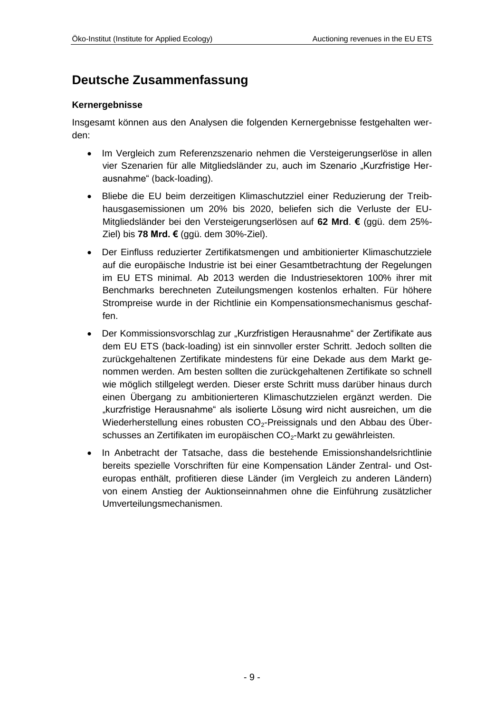# <span id="page-8-0"></span>**Deutsche Zusammenfassung**

#### **Kernergebnisse**

Insgesamt können aus den Analysen die folgenden Kernergebnisse festgehalten werden:

- Im Vergleich zum Referenzszenario nehmen die Versteigerungserlöse in allen vier Szenarien für alle Mitgliedsländer zu, auch im Szenario "Kurzfristige Herausnahme" (back-loading).
- Bliebe die EU beim derzeitigen Klimaschutzziel einer Reduzierung der Treibhausgasemissionen um 20% bis 2020, beliefen sich die Verluste der EU-Mitgliedsländer bei den Versteigerungserlösen auf **62 Mrd**. **€** (ggü. dem 25%- Ziel) bis **78 Mrd. €** (ggü. dem 30%-Ziel).
- Der Einfluss reduzierter Zertifikatsmengen und ambitionierter Klimaschutzziele auf die europäische Industrie ist bei einer Gesamtbetrachtung der Regelungen im EU ETS minimal. Ab 2013 werden die Industriesektoren 100% ihrer mit Benchmarks berechneten Zuteilungsmengen kostenlos erhalten. Für höhere Strompreise wurde in der Richtlinie ein Kompensationsmechanismus geschaffen.
- Der Kommissionsvorschlag zur "Kurzfristigen Herausnahme" der Zertifikate aus dem EU ETS (back-loading) ist ein sinnvoller erster Schritt. Jedoch sollten die zurückgehaltenen Zertifikate mindestens für eine Dekade aus dem Markt genommen werden. Am besten sollten die zurückgehaltenen Zertifikate so schnell wie möglich stillgelegt werden. Dieser erste Schritt muss darüber hinaus durch einen Übergang zu ambitionierteren Klimaschutzzielen ergänzt werden. Die "kurzfristige Herausnahme" als isolierte Lösung wird nicht ausreichen, um die Wiederherstellung eines robusten CO<sub>2</sub>-Preissignals und den Abbau des Überschusses an Zertifikaten im europäischen CO<sub>2</sub>-Markt zu gewährleisten.
- In Anbetracht der Tatsache, dass die bestehende Emissionshandelsrichtlinie bereits spezielle Vorschriften für eine Kompensation Länder Zentral- und Osteuropas enthält, profitieren diese Länder (im Vergleich zu anderen Ländern) von einem Anstieg der Auktionseinnahmen ohne die Einführung zusätzlicher Umverteilungsmechanismen.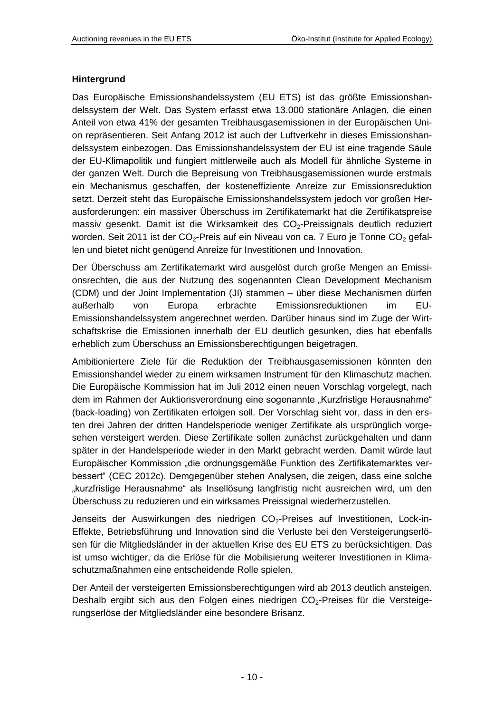#### **Hintergrund**

Das Europäische Emissionshandelssystem (EU ETS) ist das größte Emissionshandelssystem der Welt. Das System erfasst etwa 13.000 stationäre Anlagen, die einen Anteil von etwa 41% der gesamten Treibhausgasemissionen in der Europäischen Union repräsentieren. Seit Anfang 2012 ist auch der Luftverkehr in dieses Emissionshandelssystem einbezogen. Das Emissionshandelssystem der EU ist eine tragende Säule der EU-Klimapolitik und fungiert mittlerweile auch als Modell für ähnliche Systeme in der ganzen Welt. Durch die Bepreisung von Treibhausgasemissionen wurde erstmals ein Mechanismus geschaffen, der kosteneffiziente Anreize zur Emissionsreduktion setzt. Derzeit steht das Europäische Emissionshandelssystem jedoch vor großen Herausforderungen: ein massiver Überschuss im Zertifikatemarkt hat die Zertifikatspreise massiv gesenkt. Damit ist die Wirksamkeit des  $CO<sub>2</sub>$ -Preissignals deutlich reduziert worden. Seit 2011 ist der CO<sub>2</sub>-Preis auf ein Niveau von ca. 7 Euro je Tonne CO<sub>2</sub> gefallen und bietet nicht genügend Anreize für Investitionen und Innovation.

Der Überschuss am Zertifikatemarkt wird ausgelöst durch große Mengen an Emissionsrechten, die aus der Nutzung des sogenannten Clean Development Mechanism (CDM) und der Joint Implementation (JI) stammen – über diese Mechanismen dürfen außerhalb von Europa erbrachte Emissionsreduktionen im EU-Emissionshandelssystem angerechnet werden. Darüber hinaus sind im Zuge der Wirtschaftskrise die Emissionen innerhalb der EU deutlich gesunken, dies hat ebenfalls erheblich zum Überschuss an Emissionsberechtigungen beigetragen.

Ambitioniertere Ziele für die Reduktion der Treibhausgasemissionen könnten den Emissionshandel wieder zu einem wirksamen Instrument für den Klimaschutz machen. Die Europäische Kommission hat im Juli 2012 einen neuen Vorschlag vorgelegt, nach dem im Rahmen der Auktionsverordnung eine sogenannte "Kurzfristige Herausnahme" (back-loading) von Zertifikaten erfolgen soll. Der Vorschlag sieht vor, dass in den ersten drei Jahren der dritten Handelsperiode weniger Zertifikate als ursprünglich vorgesehen versteigert werden. Diese Zertifikate sollen zunächst zurückgehalten und dann später in der Handelsperiode wieder in den Markt gebracht werden. Damit würde laut Europäischer Kommission "die ordnungsgemäße Funktion des Zertifikatemarktes verbessert" (CEC 2012c). Demgegenüber stehen Analysen, die zeigen, dass eine solche "kurzfristige Herausnahme" als Insellösung langfristig nicht ausreichen wird, um den Überschuss zu reduzieren und ein wirksames Preissignal wiederherzustellen.

Jenseits der Auswirkungen des niedrigen CO<sub>2</sub>-Preises auf Investitionen, Lock-in-Effekte, Betriebsführung und Innovation sind die Verluste bei den Versteigerungserlösen für die Mitgliedsländer in der aktuellen Krise des EU ETS zu berücksichtigen. Das ist umso wichtiger, da die Erlöse für die Mobilisierung weiterer Investitionen in Klimaschutzmaßnahmen eine entscheidende Rolle spielen.

Der Anteil der versteigerten Emissionsberechtigungen wird ab 2013 deutlich ansteigen. Deshalb ergibt sich aus den Folgen eines niedrigen  $CO<sub>2</sub>$ -Preises für die Versteigerungserlöse der Mitgliedsländer eine besondere Brisanz.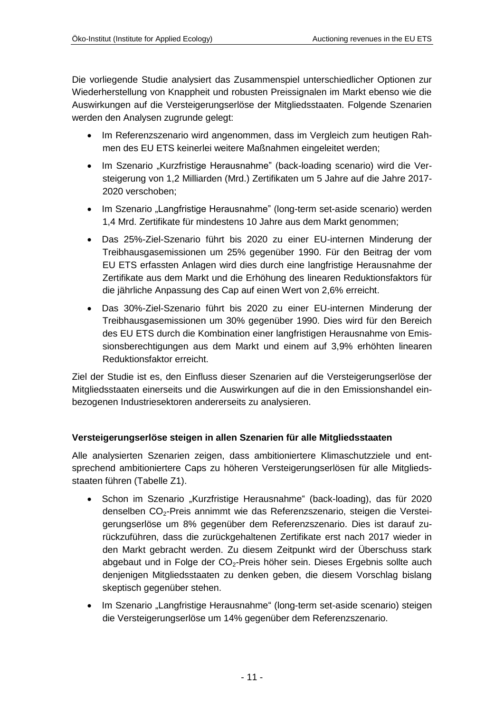Die vorliegende Studie analysiert das Zusammenspiel unterschiedlicher Optionen zur Wiederherstellung von Knappheit und robusten Preissignalen im Markt ebenso wie die Auswirkungen auf die Versteigerungserlöse der Mitgliedsstaaten. Folgende Szenarien werden den Analysen zugrunde gelegt:

- Im Referenzszenario wird angenommen, dass im Vergleich zum heutigen Rahmen des EU ETS keinerlei weitere Maßnahmen eingeleitet werden;
- Im Szenario "Kurzfristige Herausnahme" (back-loading scenario) wird die Versteigerung von 1,2 Milliarden (Mrd.) Zertifikaten um 5 Jahre auf die Jahre 2017- 2020 verschoben;
- Im Szenario "Langfristige Herausnahme" (long-term set-aside scenario) werden 1,4 Mrd. Zertifikate für mindestens 10 Jahre aus dem Markt genommen;
- Das 25%-Ziel-Szenario führt bis 2020 zu einer EU-internen Minderung der Treibhausgasemissionen um 25% gegenüber 1990. Für den Beitrag der vom EU ETS erfassten Anlagen wird dies durch eine langfristige Herausnahme der Zertifikate aus dem Markt und die Erhöhung des linearen Reduktionsfaktors für die jährliche Anpassung des Cap auf einen Wert von 2,6% erreicht.
- Das 30%-Ziel-Szenario führt bis 2020 zu einer EU-internen Minderung der Treibhausgasemissionen um 30% gegenüber 1990. Dies wird für den Bereich des EU ETS durch die Kombination einer langfristigen Herausnahme von Emissionsberechtigungen aus dem Markt und einem auf 3,9% erhöhten linearen Reduktionsfaktor erreicht.

Ziel der Studie ist es, den Einfluss dieser Szenarien auf die Versteigerungserlöse der Mitgliedsstaaten einerseits und die Auswirkungen auf die in den Emissionshandel einbezogenen Industriesektoren andererseits zu analysieren.

### **Versteigerungserlöse steigen in allen Szenarien für alle Mitgliedsstaaten**

Alle analysierten Szenarien zeigen, dass ambitioniertere Klimaschutzziele und entsprechend ambitioniertere Caps zu höheren Versteigerungserlösen für alle Mitgliedsstaaten führen (Tabelle Z1).

- Schon im Szenario "Kurzfristige Herausnahme" (back-loading), das für 2020 denselben CO<sub>2</sub>-Preis annimmt wie das Referenzszenario, steigen die Versteigerungserlöse um 8% gegenüber dem Referenzszenario. Dies ist darauf zurückzuführen, dass die zurückgehaltenen Zertifikate erst nach 2017 wieder in den Markt gebracht werden. Zu diesem Zeitpunkt wird der Überschuss stark abgebaut und in Folge der CO<sub>2</sub>-Preis höher sein. Dieses Ergebnis sollte auch denjenigen Mitgliedsstaaten zu denken geben, die diesem Vorschlag bislang skeptisch gegenüber stehen.
- Im Szenario "Langfristige Herausnahme" (long-term set-aside scenario) steigen die Versteigerungserlöse um 14% gegenüber dem Referenzszenario.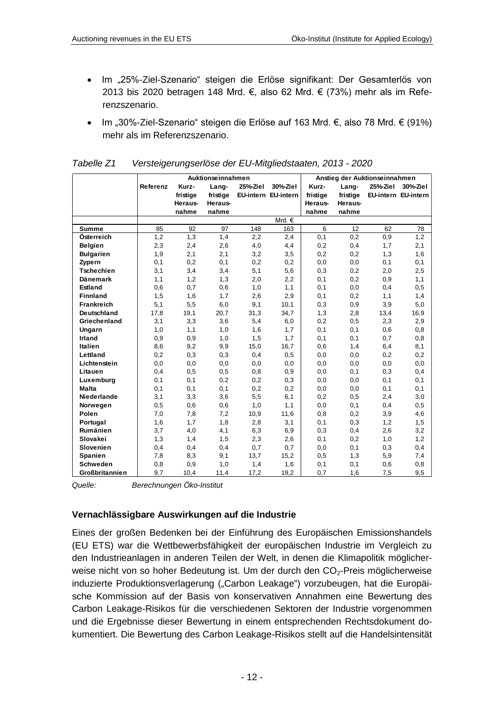- Im "25%-Ziel-Szenario" steigen die Erlöse signifikant: Der Gesamterlös von 2013 bis 2020 betragen 148 Mrd. €, also 62 Mrd. € (73%) mehr als im Referenzszenario.
- Im "30%-Ziel-Szenario" steigen die Erlöse auf 163 Mrd. €, also 78 Mrd. € (91%) mehr als im Referenzszenario.

|                       |          | Auktionseinnahmen |          | Anstieg der Auktionseinnahmen |            |          |          |          |                     |
|-----------------------|----------|-------------------|----------|-------------------------------|------------|----------|----------|----------|---------------------|
|                       | Referenz | Kurz-             | Lang-    | 25%Ziel                       | 30%Ziel    | Kurz-    | Lang-    | 25%-Ziel | 30%Ziel             |
|                       |          | fristige          | fristige | EU-intern EU-intern           |            | fristige | fristige |          | EU-intern EU-intern |
|                       |          | Heraus-           | Heraus-  |                               |            | Heraus-  | Heraus-  |          |                     |
|                       |          | nahme             | nahme    |                               |            | nahme    | nahme    |          |                     |
|                       |          |                   |          |                               | Mrd. $\in$ |          |          |          |                     |
| <b>Summe</b>          | 85       | 92                | 97       | 148                           | 163        | 6        | 12       | 62       | 78                  |
| Österreich            | 1,2      | 1,3               | 1,4      | 2,2                           | 2,4        | 0,1      | 0,2      | 0,9      | 1,2                 |
| Belgien               | 2,3      | 2,4               | 2,6      | 4,0                           | 4,4        | 0,2      | 0,4      | 1,7      | 2,1                 |
| <b>Bulgarien</b>      | 1,9      | 2,1               | 2,1      | 3,2                           | 3,5        | 0,2      | 0,2      | 1,3      | 1,6                 |
| Zypern                | 0,1      | 0,2               | 0, 1     | 0,2                           | 0,2        | 0,0      | 0,0      | 0, 1     | 0,1                 |
| <b>Tschechien</b>     | 3,1      | 3,4               | 3,4      | 5,1                           | 5,6        | 0,3      | 0,2      | 2,0      | 2,5                 |
| <b>Dänemark</b>       | 1,1      | 1,2               | 1,3      | 2,0                           | 2,2        | 0,1      | 0,2      | 0,9      | 1,1                 |
| <b>Estland</b>        | 0,6      | 0,7               | 0,6      | 1,0                           | 1,1        | 0,1      | 0,0      | 0,4      | 0,5                 |
| <b>Finnland</b>       | 1,5      | 1,6               | 1,7      | 2,6                           | 2,9        | 0,1      | 0,2      | 1,1      | 1,4                 |
| Frankreich            | 5,1      | 5,5               | 6,0      | 9,1                           | 10,1       | 0,3      | 0,9      | 3,9      | 5,0                 |
| Deutschland           | 17,8     | 19,1              | 20,7     | 31,3                          | 34,7       | 1,3      | 2,8      | 13,4     | 16,9                |
| Griechenland          | 3,1      | 3,3               | 3,6      | 5,4                           | 6,0        | 0,2      | 0,5      | 2,3      | 2,9                 |
| Ungarn                | 1,0      | 1,1               | 1,0      | 1,6                           | 1,7        | 0,1      | 0,1      | 0,6      | 0,8                 |
| <b>Irland</b>         | 0,9      | 0,9               | 1,0      | 1,5                           | 1,7        | 0,1      | 0,1      | 0,7      | 0,8                 |
| Italien               | 8,6      | 9,2               | 9,9      | 15,0                          | 16,7       | 0,6      | 1,4      | 6,4      | 8,1                 |
| Lettland              | 0,2      | 0,3               | 0,3      | 0,4                           | 0,5        | 0,0      | 0,0      | 0,2      | 0,2                 |
| Lichtenstein          | 0,0      | 0,0               | 0,0      | 0,0                           | 0,0        | 0,0      | 0,0      | 0,0      | 0,0                 |
| Litauen               | 0,4      | 0,5               | 0, 5     | 0,8                           | 0,9        | 0,0      | 0,1      | 0,3      | 0,4                 |
| Luxemburg             | 0,1      | 0,1               | 0,2      | 0,2                           | 0,3        | 0,0      | 0,0      | 0,1      | 0,1                 |
| Malta                 | 0,1      | 0,1               | 0, 1     | 0,2                           | 0,2        | 0,0      | 0,0      | 0, 1     | 0,1                 |
| Niederlande           | 3,1      | 3,3               | 3,6      | 5,5                           | 6,1        | 0,2      | 0,5      | 2,4      | 3,0                 |
| Norwegen              | 0,5      | 0,6               | 0,6      | 1,0                           | 1,1        | 0,0      | 0,1      | 0,4      | 0,5                 |
| Polen                 | 7,0      | 7,8               | 7,2      | 10,9                          | 11,6       | 0,8      | 0,2      | 3,9      | 4,6                 |
| Portugal              | 1,6      | 1,7               | 1,8      | 2,8                           | 3,1        | 0,1      | 0,3      | 1,2      | 1,5                 |
| Rumänien              | 3,7      | 4,0               | 4,1      | 6,3                           | 6,9        | 0,3      | 0,4      | 2,6      | 3,2                 |
| Slovakei              | 1,3      | 1,4               | 1,5      | 2,3                           | 2,6        | 0,1      | 0,2      | 1,0      | 1,2                 |
| <b>Slovenien</b>      | 0,4      | 0,4               | 0,4      | 0,7                           | 0,7        | 0,0      | 0,1      | 0,3      | 0,4                 |
| <b>Spanien</b>        | 7,8      | 8,3               | 9,1      | 13,7                          | 15,2       | 0,5      | 1,3      | 5,9      | 7,4                 |
| <b>Schweden</b>       | 0,8      | 0,9               | 1,0      | 1,4                           | 1,6        | 0,1      | 0,1      | 0,6      | 0,8                 |
| <b>Großbritannien</b> | 9,7      | 10,4              | 11,4     | 17,2                          | 19,2       | 0,7      | 1,6      | 7,5      | 9,5                 |

| Tabelle Z1 | Versteigerungserlöse der EU-Mitgliedstaaten, 2013 - 2020 |
|------------|----------------------------------------------------------|
|            |                                                          |
|            |                                                          |

*Quelle: Berechnungen Öko-Institut*

#### **Vernachlässigbare Auswirkungen auf die Industrie**

Eines der großen Bedenken bei der Einführung des Europäischen Emissionshandels (EU ETS) war die Wettbewerbsfähigkeit der europäischen Industrie im Vergleich zu den Industrieanlagen in anderen Teilen der Welt, in denen die Klimapolitik möglicherweise nicht von so hoher Bedeutung ist. Um der durch den CO<sub>2</sub>-Preis möglicherweise induzierte Produktionsverlagerung ("Carbon Leakage") vorzubeugen, hat die Europäische Kommission auf der Basis von konservativen Annahmen eine Bewertung des Carbon Leakage-Risikos für die verschiedenen Sektoren der Industrie vorgenommen und die Ergebnisse dieser Bewertung in einem entsprechenden Rechtsdokument dokumentiert. Die Bewertung des Carbon Leakage-Risikos stellt auf die Handelsintensität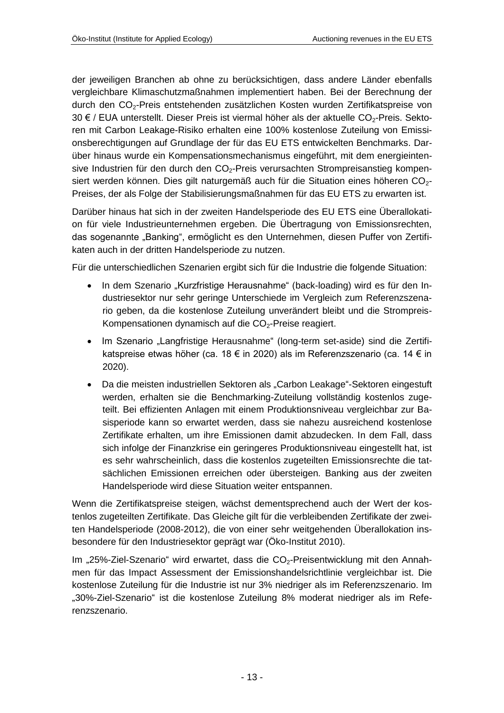der jeweiligen Branchen ab ohne zu berücksichtigen, dass andere Länder ebenfalls vergleichbare Klimaschutzmaßnahmen implementiert haben. Bei der Berechnung der durch den CO2-Preis entstehenden zusätzlichen Kosten wurden Zertifikatspreise von 30 € / EUA unterstellt. Dieser Preis ist viermal höher als der aktuelle CO<sub>2</sub>-Preis. Sektoren mit Carbon Leakage-Risiko erhalten eine 100% kostenlose Zuteilung von Emissionsberechtigungen auf Grundlage der für das EU ETS entwickelten Benchmarks. Darüber hinaus wurde ein Kompensationsmechanismus eingeführt, mit dem energieintensive Industrien für den durch den CO<sub>2</sub>-Preis verursachten Strompreisanstieg kompensiert werden können. Dies gilt naturgemäß auch für die Situation eines höheren  $CO<sub>2</sub>$ -Preises, der als Folge der Stabilisierungsmaßnahmen für das EU ETS zu erwarten ist.

Darüber hinaus hat sich in der zweiten Handelsperiode des EU ETS eine Überallokation für viele Industrieunternehmen ergeben. Die Übertragung von Emissionsrechten, das sogenannte "Banking", ermöglicht es den Unternehmen, diesen Puffer von Zertifikaten auch in der dritten Handelsperiode zu nutzen.

Für die unterschiedlichen Szenarien ergibt sich für die Industrie die folgende Situation:

- In dem Szenario "Kurzfristige Herausnahme" (back-loading) wird es für den Industriesektor nur sehr geringe Unterschiede im Vergleich zum Referenzszenario geben, da die kostenlose Zuteilung unverändert bleibt und die Strompreis-Kompensationen dynamisch auf die CO<sub>2</sub>-Preise reagiert.
- Im Szenario "Langfristige Herausnahme" (long-term set-aside) sind die Zertifikatspreise etwas höher (ca. 18 € in 2020) als im Referenzszenario (ca. 14 € in 2020).
- Da die meisten industriellen Sektoren als "Carbon Leakage"-Sektoren eingestuft werden, erhalten sie die Benchmarking-Zuteilung vollständig kostenlos zugeteilt. Bei effizienten Anlagen mit einem Produktionsniveau vergleichbar zur Basisperiode kann so erwartet werden, dass sie nahezu ausreichend kostenlose Zertifikate erhalten, um ihre Emissionen damit abzudecken. In dem Fall, dass sich infolge der Finanzkrise ein geringeres Produktionsniveau eingestellt hat, ist es sehr wahrscheinlich, dass die kostenlos zugeteilten Emissionsrechte die tatsächlichen Emissionen erreichen oder übersteigen. Banking aus der zweiten Handelsperiode wird diese Situation weiter entspannen.

Wenn die Zertifikatspreise steigen, wächst dementsprechend auch der Wert der kostenlos zugeteilten Zertifikate. Das Gleiche gilt für die verbleibenden Zertifikate der zweiten Handelsperiode (2008-2012), die von einer sehr weitgehenden Überallokation insbesondere für den Industriesektor geprägt war (Öko-Institut 2010).

Im "25%-Ziel-Szenario" wird erwartet, dass die CO<sub>2</sub>-Preisentwicklung mit den Annahmen für das Impact Assessment der Emissionshandelsrichtlinie vergleichbar ist. Die kostenlose Zuteilung für die Industrie ist nur 3% niedriger als im Referenzszenario. Im "30%-Ziel-Szenario" ist die kostenlose Zuteilung 8% moderat niedriger als im Referenzszenario.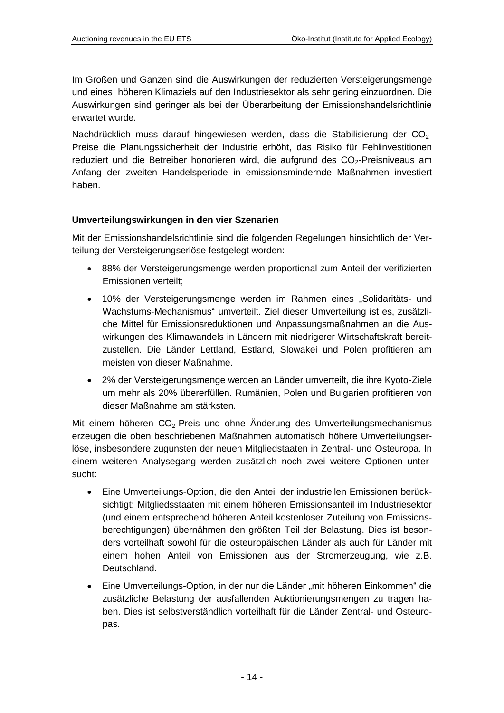Im Großen und Ganzen sind die Auswirkungen der reduzierten Versteigerungsmenge und eines höheren Klimaziels auf den Industriesektor als sehr gering einzuordnen. Die Auswirkungen sind geringer als bei der Überarbeitung der Emissionshandelsrichtlinie erwartet wurde.

Nachdrücklich muss darauf hingewiesen werden, dass die Stabilisierung der CO<sub>2</sub>-Preise die Planungssicherheit der Industrie erhöht, das Risiko für Fehlinvestitionen reduziert und die Betreiber honorieren wird, die aufgrund des CO<sub>2</sub>-Preisniveaus am Anfang der zweiten Handelsperiode in emissionsmindernde Maßnahmen investiert haben.

#### **Umverteilungswirkungen in den vier Szenarien**

Mit der Emissionshandelsrichtlinie sind die folgenden Regelungen hinsichtlich der Verteilung der Versteigerungserlöse festgelegt worden:

- 88% der Versteigerungsmenge werden proportional zum Anteil der verifizierten Emissionen verteilt;
- 10% der Versteigerungsmenge werden im Rahmen eines "Solidaritäts- und Wachstums-Mechanismus" umverteilt. Ziel dieser Umverteilung ist es, zusätzliche Mittel für Emissionsreduktionen und Anpassungsmaßnahmen an die Auswirkungen des Klimawandels in Ländern mit niedrigerer Wirtschaftskraft bereitzustellen. Die Länder Lettland, Estland, Slowakei und Polen profitieren am meisten von dieser Maßnahme.
- 2% der Versteigerungsmenge werden an Länder umverteilt, die ihre Kyoto-Ziele um mehr als 20% übererfüllen. Rumänien, Polen und Bulgarien profitieren von dieser Maßnahme am stärksten.

Mit einem höheren CO<sub>2</sub>-Preis und ohne Änderung des Umverteilungsmechanismus erzeugen die oben beschriebenen Maßnahmen automatisch höhere Umverteilungserlöse, insbesondere zugunsten der neuen Mitgliedstaaten in Zentral- und Osteuropa. In einem weiteren Analysegang werden zusätzlich noch zwei weitere Optionen untersucht:

- Eine Umverteilungs-Option, die den Anteil der industriellen Emissionen berücksichtigt: Mitgliedsstaaten mit einem höheren Emissionsanteil im Industriesektor (und einem entsprechend höheren Anteil kostenloser Zuteilung von Emissionsberechtigungen) übernähmen den größten Teil der Belastung. Dies ist besonders vorteilhaft sowohl für die osteuropäischen Länder als auch für Länder mit einem hohen Anteil von Emissionen aus der Stromerzeugung, wie z.B. Deutschland.
- Eine Umverteilungs-Option, in der nur die Länder "mit höheren Einkommen" die zusätzliche Belastung der ausfallenden Auktionierungsmengen zu tragen haben. Dies ist selbstverständlich vorteilhaft für die Länder Zentral- und Osteuropas.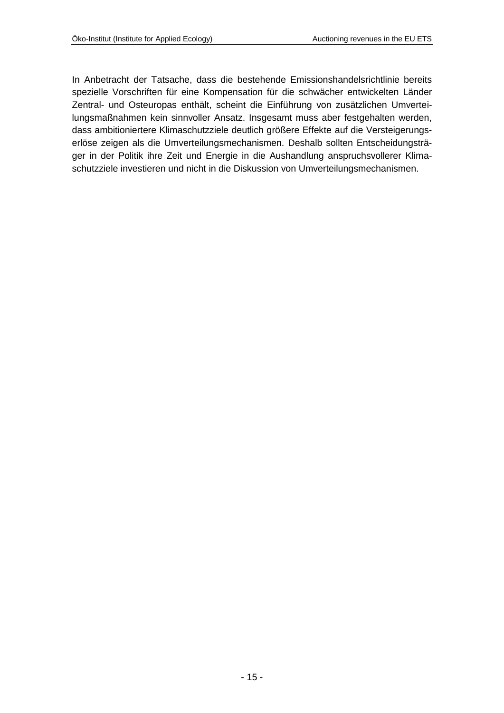In Anbetracht der Tatsache, dass die bestehende Emissionshandelsrichtlinie bereits spezielle Vorschriften für eine Kompensation für die schwächer entwickelten Länder Zentral- und Osteuropas enthält, scheint die Einführung von zusätzlichen Umverteilungsmaßnahmen kein sinnvoller Ansatz. Insgesamt muss aber festgehalten werden, dass ambitioniertere Klimaschutzziele deutlich größere Effekte auf die Versteigerungserlöse zeigen als die Umverteilungsmechanismen. Deshalb sollten Entscheidungsträger in der Politik ihre Zeit und Energie in die Aushandlung anspruchsvollerer Klimaschutzziele investieren und nicht in die Diskussion von Umverteilungsmechanismen.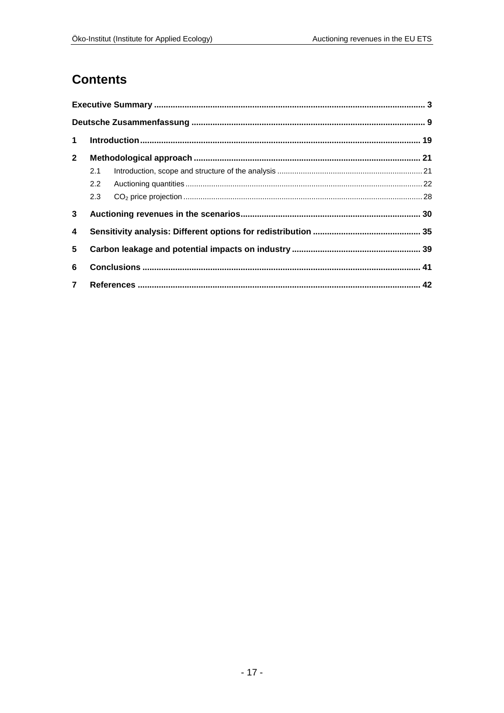## **Contents**

| $\blacktriangleleft$ |     |  |
|----------------------|-----|--|
| $\mathbf{2}$         |     |  |
|                      | 2.1 |  |
|                      | 2.2 |  |
|                      | 2.3 |  |
| 3                    |     |  |
| 4                    |     |  |
| 5                    |     |  |
| 6                    |     |  |
| $\overline{7}$       |     |  |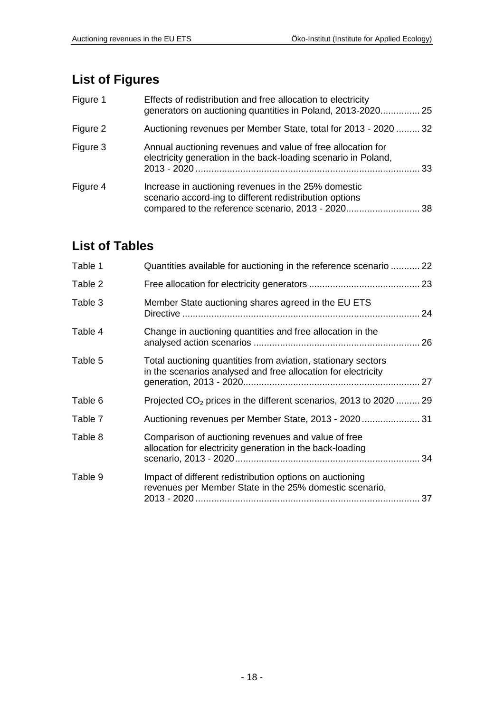# **List of Figures**

| Figure 1 | Effects of redistribution and free allocation to electricity<br>generators on auctioning quantities in Poland, 2013-2020 25                                       |     |
|----------|-------------------------------------------------------------------------------------------------------------------------------------------------------------------|-----|
| Figure 2 | Auctioning revenues per Member State, total for 2013 - 2020  32                                                                                                   |     |
| Figure 3 | Annual auctioning revenues and value of free allocation for<br>electricity generation in the back-loading scenario in Poland,                                     | 33. |
| Figure 4 | Increase in auctioning revenues in the 25% domestic<br>scenario accord-ing to different redistribution options<br>compared to the reference scenario, 2013 - 2020 | 38  |

# **List of Tables**

| Table 1 | Quantities available for auctioning in the reference scenario  22                                                              |    |
|---------|--------------------------------------------------------------------------------------------------------------------------------|----|
| Table 2 |                                                                                                                                |    |
| Table 3 | Member State auctioning shares agreed in the EU ETS                                                                            |    |
| Table 4 | Change in auctioning quantities and free allocation in the                                                                     |    |
| Table 5 | Total auctioning quantities from aviation, stationary sectors<br>in the scenarios analysed and free allocation for electricity |    |
| Table 6 | Projected $CO2$ prices in the different scenarios, 2013 to 2020  29                                                            |    |
| Table 7 | Auctioning revenues per Member State, 2013 - 2020  31                                                                          |    |
| Table 8 | Comparison of auctioning revenues and value of free<br>allocation for electricity generation in the back-loading               |    |
| Table 9 | Impact of different redistribution options on auctioning<br>revenues per Member State in the 25% domestic scenario,            | 37 |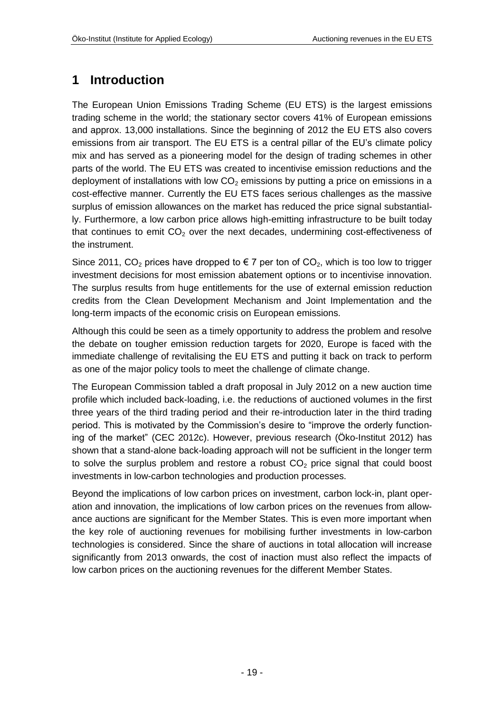# <span id="page-18-0"></span>**1 Introduction**

The European Union Emissions Trading Scheme (EU ETS) is the largest emissions trading scheme in the world; the stationary sector covers 41% of European emissions and approx. 13,000 installations. Since the beginning of 2012 the EU ETS also covers emissions from air transport. The EU ETS is a central pillar of the EU's climate policy mix and has served as a pioneering model for the design of trading schemes in other parts of the world. The EU ETS was created to incentivise emission reductions and the deployment of installations with low  $CO<sub>2</sub>$  emissions by putting a price on emissions in a cost-effective manner. Currently the EU ETS faces serious challenges as the massive surplus of emission allowances on the market has reduced the price signal substantially. Furthermore, a low carbon price allows high-emitting infrastructure to be built today that continues to emit  $CO<sub>2</sub>$  over the next decades, undermining cost-effectiveness of the instrument.

Since 2011, CO<sub>2</sub> prices have dropped to  $\epsilon$  7 per ton of CO<sub>2</sub>, which is too low to trigger investment decisions for most emission abatement options or to incentivise innovation. The surplus results from huge entitlements for the use of external emission reduction credits from the Clean Development Mechanism and Joint Implementation and the long-term impacts of the economic crisis on European emissions.

Although this could be seen as a timely opportunity to address the problem and resolve the debate on tougher emission reduction targets for 2020, Europe is faced with the immediate challenge of revitalising the EU ETS and putting it back on track to perform as one of the major policy tools to meet the challenge of climate change.

The European Commission tabled a draft proposal in July 2012 on a new auction time profile which included back-loading, i.e. the reductions of auctioned volumes in the first three years of the third trading period and their re-introduction later in the third trading period. This is motivated by the Commission's desire to "improve the orderly functioning of the market" (CEC 2012c). However, previous research (Öko-Institut 2012) has shown that a stand-alone back-loading approach will not be sufficient in the longer term to solve the surplus problem and restore a robust  $CO<sub>2</sub>$  price signal that could boost investments in low-carbon technologies and production processes.

Beyond the implications of low carbon prices on investment, carbon lock-in, plant operation and innovation, the implications of low carbon prices on the revenues from allowance auctions are significant for the Member States. This is even more important when the key role of auctioning revenues for mobilising further investments in low-carbon technologies is considered. Since the share of auctions in total allocation will increase significantly from 2013 onwards, the cost of inaction must also reflect the impacts of low carbon prices on the auctioning revenues for the different Member States.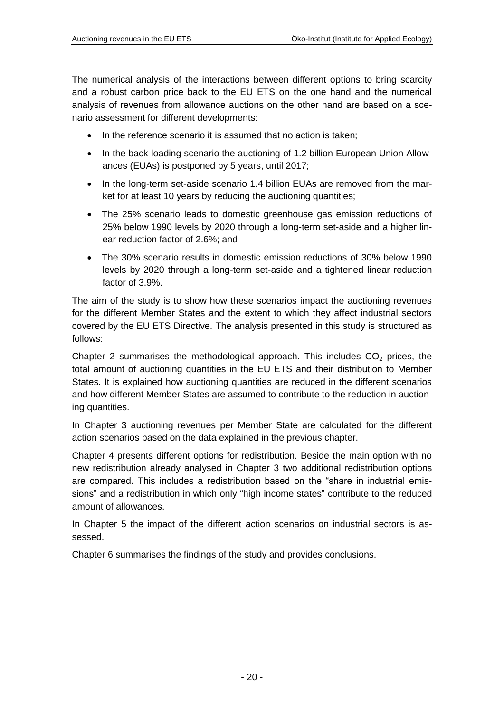The numerical analysis of the interactions between different options to bring scarcity and a robust carbon price back to the EU ETS on the one hand and the numerical analysis of revenues from allowance auctions on the other hand are based on a scenario assessment for different developments:

- In the reference scenario it is assumed that no action is taken;
- In the back-loading scenario the auctioning of 1.2 billion European Union Allowances (EUAs) is postponed by 5 years, until 2017;
- In the long-term set-aside scenario 1.4 billion EUAs are removed from the market for at least 10 years by reducing the auctioning quantities;
- The 25% scenario leads to domestic greenhouse gas emission reductions of 25% below 1990 levels by 2020 through a long-term set-aside and a higher linear reduction factor of 2.6%; and
- The 30% scenario results in domestic emission reductions of 30% below 1990 levels by 2020 through a long-term set-aside and a tightened linear reduction factor of 3.9%.

The aim of the study is to show how these scenarios impact the auctioning revenues for the different Member States and the extent to which they affect industrial sectors covered by the EU ETS Directive. The analysis presented in this study is structured as follows:

Chapter [2](#page-20-0) summarises the methodological approach. This includes  $CO<sub>2</sub>$  prices, the total amount of auctioning quantities in the EU ETS and their distribution to Member States. It is explained how auctioning quantities are reduced in the different scenarios and how different Member States are assumed to contribute to the reduction in auctioning quantities.

In Chapter [3](#page-29-0) auctioning revenues per Member State are calculated for the different action scenarios based on the data explained in the previous chapter.

Chapter [4](#page-34-0) presents different options for redistribution. Beside the main option with no new redistribution already analysed in Chapter [3](#page-29-0) two additional redistribution options are compared. This includes a redistribution based on the "share in industrial emissions" and a redistribution in which only "high income states" contribute to the reduced amount of allowances.

In Chapter [5](#page-38-0) the impact of the different action scenarios on industrial sectors is assessed.

Chapter [6](#page-40-0) summarises the findings of the study and provides conclusions.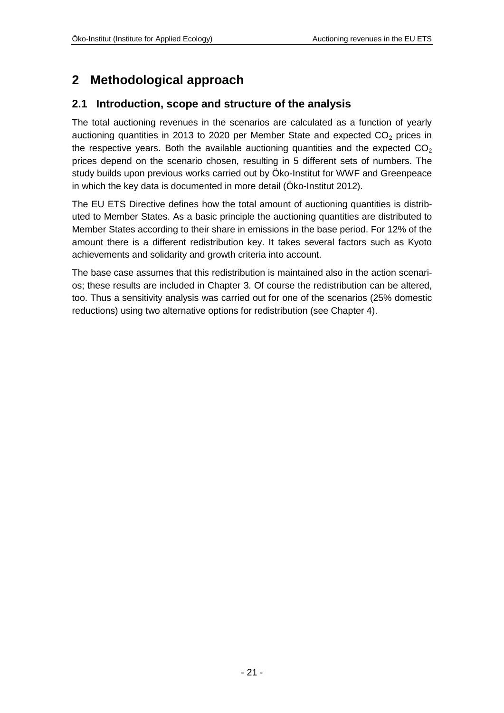# <span id="page-20-0"></span>**2 Methodological approach**

### <span id="page-20-1"></span>**2.1 Introduction, scope and structure of the analysis**

The total auctioning revenues in the scenarios are calculated as a function of yearly auctioning quantities in 2013 to 2020 per Member State and expected  $CO<sub>2</sub>$  prices in the respective years. Both the available auctioning quantities and the expected  $CO<sub>2</sub>$ prices depend on the scenario chosen, resulting in 5 different sets of numbers. The study builds upon previous works carried out by Öko-Institut for WWF and Greenpeace in which the key data is documented in more detail (Öko-Institut 2012).

The EU ETS Directive defines how the total amount of auctioning quantities is distributed to Member States. As a basic principle the auctioning quantities are distributed to Member States according to their share in emissions in the base period. For 12% of the amount there is a different redistribution key. It takes several factors such as Kyoto achievements and solidarity and growth criteria into account.

The base case assumes that this redistribution is maintained also in the action scenarios; these results are included in Chapter [3.](#page-29-0) Of course the redistribution can be altered, too. Thus a sensitivity analysis was carried out for one of the scenarios (25% domestic reductions) using two alternative options for redistribution (see Chapter [4\)](#page-34-0).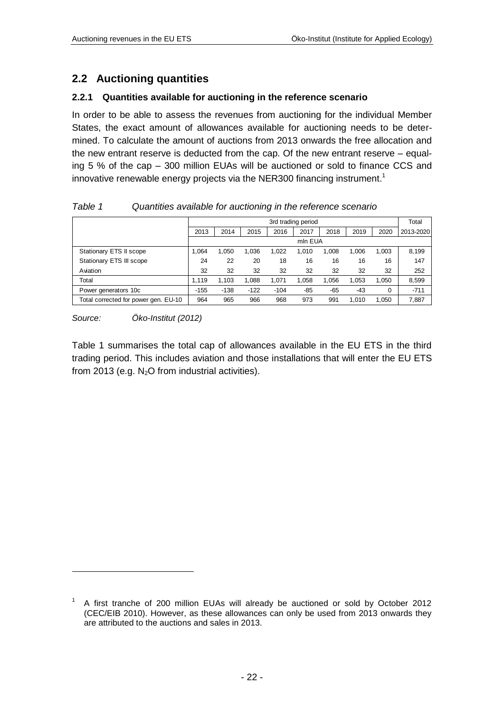### <span id="page-21-0"></span>**2.2 Auctioning quantities**

#### **2.2.1 Quantities available for auctioning in the reference scenario**

In order to be able to assess the revenues from auctioning for the individual Member States, the exact amount of allowances available for auctioning needs to be determined. To calculate the amount of auctions from 2013 onwards the free allocation and the new entrant reserve is deducted from the cap. Of the new entrant reserve – equaling 5 % of the cap – 300 million EUAs will be auctioned or sold to finance CCS and innovative renewable energy projects via the NER300 financing instrument.<sup>1</sup>

|                                      |        | 3rd trading period |        |        |         |       |       |       |           |
|--------------------------------------|--------|--------------------|--------|--------|---------|-------|-------|-------|-----------|
|                                      | 2013   | 2014               | 2015   | 2016   | 2017    | 2018  | 2019  | 2020  | 2013-2020 |
|                                      |        |                    |        |        | mln EUA |       |       |       |           |
| Stationary ETS II scope              | 1.064  | 1,050              | 1,036  | 1,022  | 1,010   | 1.008 | 1,006 | 1,003 | 8,199     |
| Stationary ETS III scope             | 24     | 22                 | 20     | 18     | 16      | 16    | 16    | 16    | 147       |
| Aviation                             | 32     | 32                 | 32     | 32     | 32      | 32    | 32    | 32    | 252       |
| Total                                | 1.119  | 1.103              | 1,088  | 1.071  | 1.058   | 1.056 | 1,053 | 1.050 | 8,599     |
| Power generators 10c                 | $-155$ | $-138$             | $-122$ | $-104$ | $-85$   | $-65$ | $-43$ | 0     | $-711$    |
| Total corrected for power gen. EU-10 | 964    | 965                | 966    | 968    | 973     | 991   | 1.010 | 1.050 | 7,887     |

<span id="page-21-1"></span>*Table 1 Quantities available for auctioning in the reference scenario*

*Source: Öko-Institut (2012)*

1

[Table 1](#page-21-1) summarises the total cap of allowances available in the EU ETS in the third trading period. This includes aviation and those installations that will enter the EU ETS from 2013 (e.g.  $N<sub>2</sub>O$  from industrial activities).

<sup>1</sup> A first tranche of 200 million EUAs will already be auctioned or sold by October 2012 (CEC/EIB 2010). However, as these allowances can only be used from 2013 onwards they are attributed to the auctions and sales in 2013.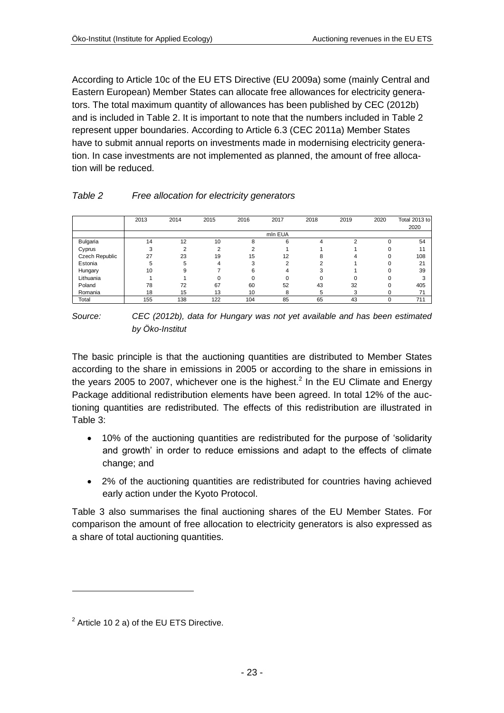According to Article 10c of the EU ETS Directive (EU 2009a) some (mainly Central and Eastern European) Member States can allocate free allowances for electricity generators. The total maximum quantity of allowances has been published by CEC (2012b) and is included in [Table 2.](#page-22-0) It is important to note that the numbers included in [Table 2](#page-22-0) represent upper boundaries. According to Article 6.3 (CEC 2011a) Member States have to submit annual reports on investments made in modernising electricity generation. In case investments are not implemented as planned, the amount of free allocation will be reduced.

<span id="page-22-0"></span>

|                | 2013 | 2014 | 2015 | 2016 | 2017    | 2018 | 2019   | 2020 | Total 2013 to |
|----------------|------|------|------|------|---------|------|--------|------|---------------|
|                |      |      |      |      |         |      |        |      | 2020          |
|                |      |      |      |      | mln EUA |      |        |      |               |
| Bulgaria       | 14   | 12   | 10   | 8    | 6       | 4    | $\sim$ | n    | 54            |
| Cyprus         | 3    | ◠    |      | っ    |         |      |        |      | 11            |
| Czech Republic | 27   | 23   | 19   | 15   | 12      | 8    |        | n    | 108           |
| Estonia        | 5    | 5    | 4    | 3    |         |      |        | n    | 21            |
| Hungary        | 10   | я    |      | 6    | Δ       |      |        |      | 39            |
| Lithuania      |      |      |      |      |         |      |        |      |               |
| Poland         | 78   | 72   | 67   | 60   | 52      | 43   | 32     |      | 405           |
| Romania        | 18   | 15   | 13   | 10   | 8       | 5    |        |      | 71            |
| Total          | 155  | 138  | 122  | 104  | 85      | 65   | 43     | 0    | 711           |

*Source: CEC (2012b), data for Hungary was not yet available and has been estimated by Öko-Institut*

The basic principle is that the auctioning quantities are distributed to Member States according to the share in emissions in 2005 or according to the share in emissions in the years 2005 to 2007, whichever one is the highest.<sup>2</sup> In the EU Climate and Energy Package additional redistribution elements have been agreed. In total 12% of the auctioning quantities are redistributed. The effects of this redistribution are illustrated in [Table 3:](#page-23-0)

- 10% of the auctioning quantities are redistributed for the purpose of 'solidarity and growth' in order to reduce emissions and adapt to the effects of climate change; and
- 2% of the auctioning quantities are redistributed for countries having achieved early action under the Kyoto Protocol.

[Table 3](#page-23-0) also summarises the final auctioning shares of the EU Member States. For comparison the amount of free allocation to electricity generators is also expressed as a share of total auctioning quantities.

-

 $2$  Article 10 2 a) of the EU ETS Directive.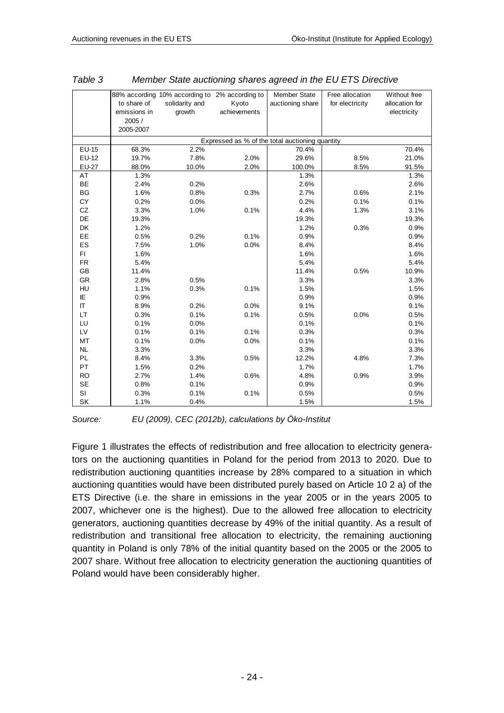|           | to share of<br>emissions in<br>2005 /<br>2005-2007 | 88% according 10% according to 2% according to<br>solidarity and<br>growth | Kyoto<br>achievements | <b>Member State</b><br>auctioning share                  | Free allocation<br>for electricity | Without free<br>allocation for<br>electricity |
|-----------|----------------------------------------------------|----------------------------------------------------------------------------|-----------------------|----------------------------------------------------------|------------------------------------|-----------------------------------------------|
|           |                                                    |                                                                            |                       |                                                          |                                    |                                               |
| EU-15     | 68.3%                                              | 2.2%                                                                       |                       | Expressed as % of the total auctioning quantity<br>70.4% |                                    | 70.4%                                         |
| EU-12     | 19.7%                                              | 7.8%                                                                       | 2.0%                  | 29.6%                                                    | 8.5%                               | 21.0%                                         |
| EU-27     | 88.0%                                              | 10.0%                                                                      | 2.0%                  | 100.0%                                                   | 8.5%                               | 91.5%                                         |
| AT        | 1.3%                                               |                                                                            |                       | 1.3%                                                     |                                    | 1.3%                                          |
| BE        | 2.4%                                               | 0.2%                                                                       |                       | 2.6%                                                     |                                    | 2.6%                                          |
| <b>BG</b> | 1.6%                                               | 0.8%                                                                       | 0.3%                  | 2.7%                                                     | 0.6%                               | 2.1%                                          |
| CY        | 0.2%                                               | 0.0%                                                                       |                       | 0.2%                                                     | 0.1%                               | 0.1%                                          |
| CZ        | 3.3%                                               | 1.0%                                                                       | 0.1%                  | 4.4%                                                     | 1.3%                               | 3.1%                                          |
| DE        | 19.3%                                              |                                                                            |                       | 19.3%                                                    |                                    | 19.3%                                         |
| DK        | 1.2%                                               |                                                                            |                       | 1.2%                                                     | 0.3%                               | 0.9%                                          |
| EE        | 0.5%                                               | 0.2%                                                                       | 0.1%                  | 0.9%                                                     |                                    | 0.9%                                          |
| ES        | 7.5%                                               | 1.0%                                                                       | 0.0%                  | 8.4%                                                     |                                    | 8.4%                                          |
| FI.       | 1.6%                                               |                                                                            |                       | 1.6%                                                     |                                    | 1.6%                                          |
| <b>FR</b> | 5.4%                                               |                                                                            |                       | 5.4%                                                     |                                    | 5.4%                                          |
| GB        | 11.4%                                              |                                                                            |                       | 11.4%                                                    | 0.5%                               | 10.9%                                         |
| <b>GR</b> | 2.8%                                               | 0.5%                                                                       |                       | 3.3%                                                     |                                    | 3.3%                                          |
| HU        | 1.1%                                               | 0.3%                                                                       | 0.1%                  | 1.5%                                                     |                                    | 1.5%                                          |
| ΙE        | 0.9%                                               |                                                                            |                       | 0.9%                                                     |                                    | 0.9%                                          |
| IT        | 8.9%                                               | 0.2%                                                                       | 0.0%                  | 9.1%                                                     |                                    | 9.1%                                          |
| LT.       | 0.3%                                               | 0.1%                                                                       | 0.1%                  | 0.5%                                                     | 0.0%                               | 0.5%                                          |
| LU        | 0.1%                                               | 0.0%                                                                       |                       | 0.1%                                                     |                                    | 0.1%                                          |
| LV        | 0.1%                                               | 0.1%                                                                       | 0.1%                  | 0.3%                                                     |                                    | 0.3%                                          |
| MT        | 0.1%                                               | 0.0%                                                                       | 0.0%                  | 0.1%                                                     |                                    | 0.1%                                          |
| <b>NL</b> | 3.3%                                               |                                                                            |                       | 3.3%                                                     |                                    | 3.3%                                          |
| PL        | 8.4%                                               | 3.3%                                                                       | 0.5%                  | 12.2%                                                    | 4.8%                               | 7.3%                                          |
| <b>PT</b> | 1.5%                                               | 0.2%                                                                       |                       | 1.7%                                                     |                                    | 1.7%                                          |
| <b>RO</b> | 2.7%                                               | 1.4%                                                                       | 0.6%                  | 4.8%                                                     | 0.9%                               | 3.9%                                          |
| SE        | 0.8%                                               | 0.1%                                                                       |                       | 0.9%                                                     |                                    | 0.9%                                          |
| SI        | 0.3%                                               | 0.1%                                                                       | 0.1%                  | 0.5%                                                     |                                    | 0.5%                                          |
| <b>SK</b> | 1.1%                                               | 0.4%                                                                       |                       | 1.5%                                                     |                                    | 1.5%                                          |

<span id="page-23-0"></span>

| Table 3 | Member State auctioning shares agreed in the EU ETS Directive |
|---------|---------------------------------------------------------------|
|---------|---------------------------------------------------------------|

*Source: EU (2009), CEC (2012b), calculations by Öko-Institut*

[Figure 1](#page-24-0) illustrates the effects of redistribution and free allocation to electricity generators on the auctioning quantities in Poland for the period from 2013 to 2020. Due to redistribution auctioning quantities increase by 28% compared to a situation in which auctioning quantities would have been distributed purely based on Article 10 2 a) of the ETS Directive (i.e. the share in emissions in the year 2005 or in the years 2005 to 2007, whichever one is the highest). Due to the allowed free allocation to electricity generators, auctioning quantities decrease by 49% of the initial quantity. As a result of redistribution and transitional free allocation to electricity, the remaining auctioning quantity in Poland is only 78% of the initial quantity based on the 2005 or the 2005 to 2007 share. Without free allocation to electricity generation the auctioning quantities of Poland would have been considerably higher.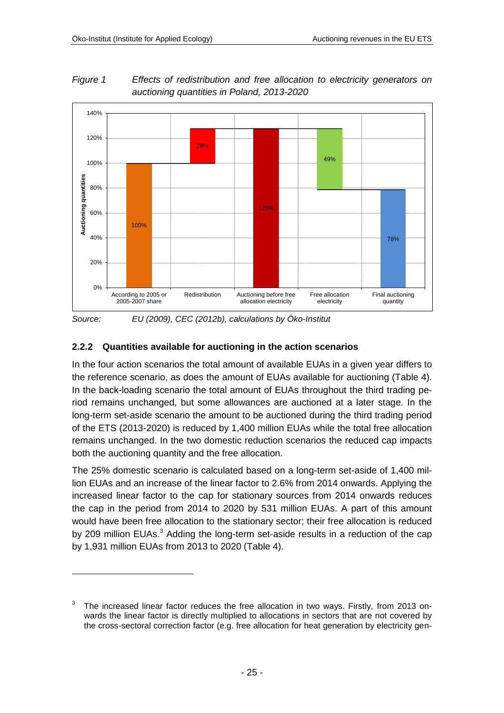1



<span id="page-24-0"></span>*Figure 1 Effects of redistribution and free allocation to electricity generators on auctioning quantities in Poland, 2013-2020*

*Source: EU (2009), CEC (2012b), calculations by Öko-Institut*

### **2.2.2 Quantities available for auctioning in the action scenarios**

In the four action scenarios the total amount of available EUAs in a given year differs to the reference scenario, as does the amount of EUAs available for auctioning [\(Table 4\)](#page-25-0). In the back-loading scenario the total amount of EUAs throughout the third trading period remains unchanged, but some allowances are auctioned at a later stage. In the long-term set-aside scenario the amount to be auctioned during the third trading period of the ETS (2013-2020) is reduced by 1,400 million EUAs while the total free allocation remains unchanged. In the two domestic reduction scenarios the reduced cap impacts both the auctioning quantity and the free allocation.

The 25% domestic scenario is calculated based on a long-term set-aside of 1,400 million EUAs and an increase of the linear factor to 2.6% from 2014 onwards. Applying the increased linear factor to the cap for stationary sources from 2014 onwards reduces the cap in the period from 2014 to 2020 by 531 million EUAs. A part of this amount would have been free allocation to the stationary sector; their free allocation is reduced by 209 million EUAs.<sup>3</sup> Adding the long-term set-aside results in a reduction of the cap by 1,931 million EUAs from 2013 to 2020 [\(Table 4\)](#page-25-0).

<sup>3</sup> The increased linear factor reduces the free allocation in two ways. Firstly, from 2013 onwards the linear factor is directly multiplied to allocations in sectors that are not covered by the cross-sectoral correction factor (e.g. free allocation for heat generation by electricity gen-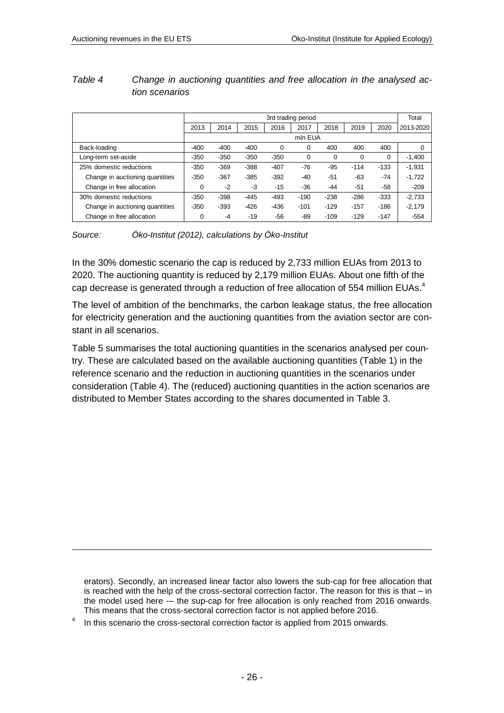1

|                                 |        | 3rd trading period |        |        |         |        |        |        |           |
|---------------------------------|--------|--------------------|--------|--------|---------|--------|--------|--------|-----------|
|                                 | 2013   | 2014               | 2015   | 2016   | 2017    | 2018   | 2019   | 2020   | 2013-2020 |
|                                 |        |                    |        |        | mln EUA |        |        |        |           |
| Back-loading                    | $-400$ | $-400$             | $-400$ | 0      | 0       | 400    | 400    | 400    | 0         |
| Long-term set-aside             | $-350$ | $-350$             | $-350$ | $-350$ | 0       | 0      | 0      | 0      | $-1,400$  |
| 25% domestic reductions         | $-350$ | $-369$             | $-388$ | $-407$ | -76     | -95    | $-114$ | $-133$ | $-1,931$  |
| Change in auctioning quantities | $-350$ | $-367$             | $-385$ | $-392$ | $-40$   | $-51$  | $-63$  | -74    | $-1,722$  |
| Change in free allocation       | 0      | $-2$               | -3     | $-15$  | $-36$   | $-44$  | $-51$  | -58    | $-209$    |
| 30% domestic reductions         | $-350$ | $-398$             | $-445$ | $-493$ | $-190$  | $-238$ | $-286$ | $-333$ | $-2.733$  |
| Change in auctioning quantities | $-350$ | $-393$             | $-426$ | $-436$ | $-101$  | $-129$ | $-157$ | $-186$ | $-2.179$  |
| Change in free allocation       | 0      | $-4$               | $-19$  | -56    | -89     | $-109$ | $-129$ | $-147$ | $-554$    |

### <span id="page-25-0"></span>*Table 4 Change in auctioning quantities and free allocation in the analysed action scenarios*

*Source: Öko-Institut (2012), calculations by Öko-Institut*

In the 30% domestic scenario the cap is reduced by 2,733 million EUAs from 2013 to 2020. The auctioning quantity is reduced by 2,179 million EUAs. About one fifth of the cap decrease is generated through a reduction of free allocation of 554 million EUAs.<sup>4</sup>

The level of ambition of the benchmarks, the carbon leakage status, the free allocation for electricity generation and the auctioning quantities from the aviation sector are constant in all scenarios.

[Table 5](#page-26-0) summarises the total auctioning quantities in the scenarios analysed per country. These are calculated based on the available auctioning quantities [\(Table 1\)](#page-21-1) in the reference scenario and the reduction in auctioning quantities in the scenarios under consideration [\(Table 4\)](#page-25-0). The (reduced) auctioning quantities in the action scenarios are distributed to Member States according to the shares documented in [Table 3.](#page-23-0)

erators). Secondly, an increased linear factor also lowers the sub-cap for free allocation that is reached with the help of the cross-sectoral correction factor. The reason for this is that – in the model used here -– the sup-cap for free allocation is only reached from 2016 onwards. This means that the cross-sectoral correction factor is not applied before 2016.

<sup>4</sup> In this scenario the cross-sectoral correction factor is applied from 2015 onwards.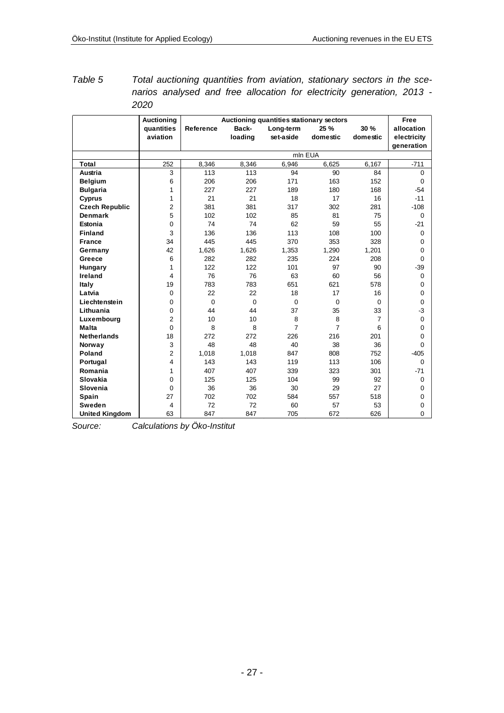<span id="page-26-0"></span>

| Table 5 | Total auctioning quantities from aviation, stationary sectors in the sce- |  |
|---------|---------------------------------------------------------------------------|--|
|         | narios analysed and free allocation for electricity generation, 2013 -    |  |
|         | 2020                                                                      |  |

|                       | <b>Auctioning</b> | Auctioning quantities stationary sectors |          |                |                |          |             |  |
|-----------------------|-------------------|------------------------------------------|----------|----------------|----------------|----------|-------------|--|
|                       | quantities        | Reference                                | Back-    | Long-term      | 25 %           | 30 %     | allocation  |  |
|                       | aviation          |                                          | loading  | set-aside      | domestic       | domestic | electricity |  |
|                       |                   |                                          |          |                |                |          | generation  |  |
|                       |                   |                                          |          |                | mln EUA        |          |             |  |
| <b>Total</b>          | 252               | 8,346                                    | 8,346    | 6,946          | 6,625          | 6,167    | $-711$      |  |
| Austria               | 3                 | 113                                      | 113      | 94             | 90             | 84       | $\Omega$    |  |
| <b>Belgium</b>        | 6                 | 206                                      | 206      | 171            | 163            | 152      | 0           |  |
| <b>Bulgaria</b>       | 1                 | 227                                      | 227      | 189            | 180            | 168      | $-54$       |  |
| Cyprus                | 1                 | 21                                       | 21       | 18             | 17             | 16       | $-11$       |  |
| <b>Czech Republic</b> | 2                 | 381                                      | 381      | 317            | 302            | 281      | $-108$      |  |
| <b>Denmark</b>        | 5                 | 102                                      | 102      | 85             | 81             | 75       | $\Omega$    |  |
| Estonia               | $\mathbf 0$       | 74                                       | 74       | 62             | 59             | 55       | $-21$       |  |
| <b>Finland</b>        | 3                 | 136                                      | 136      | 113            | 108            | 100      | $\mathbf 0$ |  |
| <b>France</b>         | 34                | 445                                      | 445      | 370            | 353            | 328      | 0           |  |
| Germany               | 42                | 1,626                                    | 1,626    | 1,353          | 1,290          | 1,201    | 0           |  |
| Greece                | 6                 | 282                                      | 282      | 235            | 224            | 208      | 0           |  |
| Hungary               | 1                 | 122                                      | 122      | 101            | 97             | 90       | $-39$       |  |
| Ireland               | 4                 | 76                                       | 76       | 63             | 60             | 56       | 0           |  |
| Italy                 | 19                | 783                                      | 783      | 651            | 621            | 578      | 0           |  |
| Latvia                | $\mathbf 0$       | 22                                       | 22       | 18             | 17             | 16       | 0           |  |
| Liechtenstein         | $\mathbf 0$       | $\mathbf 0$                              | $\Omega$ | $\mathbf 0$    | $\mathbf 0$    | $\Omega$ | $\Omega$    |  |
| Lithuania             | $\mathbf 0$       | 44                                       | 44       | 37             | 35             | 33       | -3          |  |
| Luxembourg            | $\overline{2}$    | 10                                       | 10       | 8              | 8              | 7        | 0           |  |
| Malta                 | $\mathbf 0$       | 8                                        | 8        | $\overline{7}$ | $\overline{7}$ | 6        | 0           |  |
| <b>Netherlands</b>    | 18                | 272                                      | 272      | 226            | 216            | 201      | 0           |  |
| Norway                | 3                 | 48                                       | 48       | 40             | 38             | 36       | 0           |  |
| Poland                | 2                 | 1,018                                    | 1,018    | 847            | 808            | 752      | $-405$      |  |
| Portugal              | 4                 | 143                                      | 143      | 119            | 113            | 106      | $\Omega$    |  |
| Romania               | 1                 | 407                                      | 407      | 339            | 323            | 301      | $-71$       |  |
| Slovakia              | $\mathbf 0$       | 125                                      | 125      | 104            | 99             | 92       | $\Omega$    |  |
| Slovenia              | $\mathbf 0$       | 36                                       | 36       | 30             | 29             | 27       | 0           |  |
| Spain                 | 27                | 702                                      | 702      | 584            | 557            | 518      | 0           |  |
| Sweden                | 4                 | 72                                       | 72       | 60             | 57             | 53       | 0           |  |
| <b>United Kingdom</b> | 63                | 847                                      | 847      | 705            | 672            | 626      | 0           |  |

*Source: Calculations by Öko-Institut*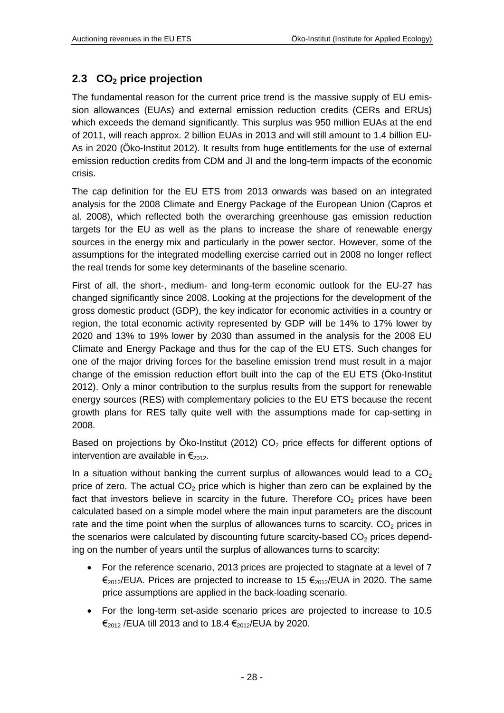### <span id="page-27-0"></span>**2.3 CO<sup>2</sup> price projection**

The fundamental reason for the current price trend is the massive supply of EU emission allowances (EUAs) and external emission reduction credits (CERs and ERUs) which exceeds the demand significantly. This surplus was 950 million EUAs at the end of 2011, will reach approx. 2 billion EUAs in 2013 and will still amount to 1.4 billion EU-As in 2020 (Öko-Institut 2012). It results from huge entitlements for the use of external emission reduction credits from CDM and JI and the long-term impacts of the economic crisis.

The cap definition for the EU ETS from 2013 onwards was based on an integrated analysis for the 2008 Climate and Energy Package of the European Union (Capros et al. 2008), which reflected both the overarching greenhouse gas emission reduction targets for the EU as well as the plans to increase the share of renewable energy sources in the energy mix and particularly in the power sector. However, some of the assumptions for the integrated modelling exercise carried out in 2008 no longer reflect the real trends for some key determinants of the baseline scenario.

First of all, the short-, medium- and long-term economic outlook for the EU-27 has changed significantly since 2008. Looking at the projections for the development of the gross domestic product (GDP), the key indicator for economic activities in a country or region, the total economic activity represented by GDP will be 14% to 17% lower by 2020 and 13% to 19% lower by 2030 than assumed in the analysis for the 2008 EU Climate and Energy Package and thus for the cap of the EU ETS. Such changes for one of the major driving forces for the baseline emission trend must result in a major change of the emission reduction effort built into the cap of the EU ETS (Öko-Institut 2012). Only a minor contribution to the surplus results from the support for renewable energy sources (RES) with complementary policies to the EU ETS because the recent growth plans for RES tally quite well with the assumptions made for cap-setting in 2008.

Based on projections by Öko-Institut (2012)  $CO<sub>2</sub>$  price effects for different options of intervention are available in  $\epsilon_{2012}$ .

In a situation without banking the current surplus of allowances would lead to a  $CO<sub>2</sub>$ price of zero. The actual  $CO<sub>2</sub>$  price which is higher than zero can be explained by the fact that investors believe in scarcity in the future. Therefore  $CO<sub>2</sub>$  prices have been calculated based on a simple model where the main input parameters are the discount rate and the time point when the surplus of allowances turns to scarcity.  $CO<sub>2</sub>$  prices in the scenarios were calculated by discounting future scarcity-based  $CO<sub>2</sub>$  prices depending on the number of years until the surplus of allowances turns to scarcity:

- For the reference scenario, 2013 prices are projected to stagnate at a level of 7  $€_{2012}/EUA$ . Prices are projected to increase to 15  $€_{2012}/EUA$  in 2020. The same price assumptions are applied in the back-loading scenario.
- For the long-term set-aside scenario prices are projected to increase to 10.5  $€<sub>2012</sub>$  /EUA till 2013 and to 18.4  $€<sub>2012</sub>$ /EUA by 2020.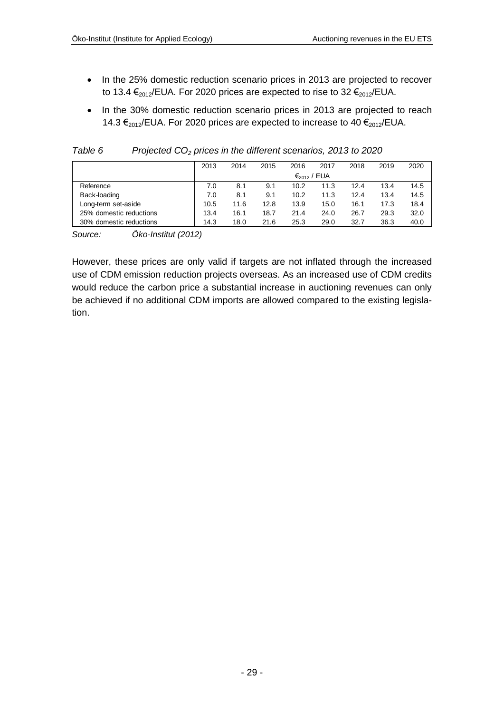- In the 25% domestic reduction scenario prices in 2013 are projected to recover to 13.4  $\epsilon_{2012}$ /EUA. For 2020 prices are expected to rise to 32  $\epsilon_{2012}$ /EUA.
- In the 30% domestic reduction scenario prices in 2013 are projected to reach 14.3  $\epsilon_{2012}$ /EUA. For 2020 prices are expected to increase to 40  $\epsilon_{2012}$ /EUA.

|                         | 2013 | 2014 | 2015 | 2016                    | 2017 | 2018 | 2019 | 2020 |
|-------------------------|------|------|------|-------------------------|------|------|------|------|
|                         |      |      |      | $\epsilon_{2012}$ / EUA |      |      |      |      |
| Reference               | 7.0  | 8.1  | 9.1  | 10.2                    | 11.3 | 12.4 | 13.4 | 14.5 |
| Back-loading            | 7.0  | 8.1  | 9.1  | 10.2                    | 11.3 | 12.4 | 13.4 | 14.5 |
| Long-term set-aside     | 10.5 | 11.6 | 12.8 | 13.9                    | 15.0 | 16.1 | 17.3 | 18.4 |
| 25% domestic reductions | 13.4 | 16.1 | 18.7 | 21.4                    | 24.0 | 26.7 | 29.3 | 32.0 |
| 30% domestic reductions | 14.3 | 18.0 | 21.6 | 25.3                    | 29.0 | 32.7 | 36.3 | 40.0 |

<span id="page-28-0"></span>*Table 6 Projected CO<sup>2</sup> prices in the different scenarios, 2013 to 2020*

*Source: Öko-Institut (2012)*

However, these prices are only valid if targets are not inflated through the increased use of CDM emission reduction projects overseas. As an increased use of CDM credits would reduce the carbon price a substantial increase in auctioning revenues can only be achieved if no additional CDM imports are allowed compared to the existing legislation.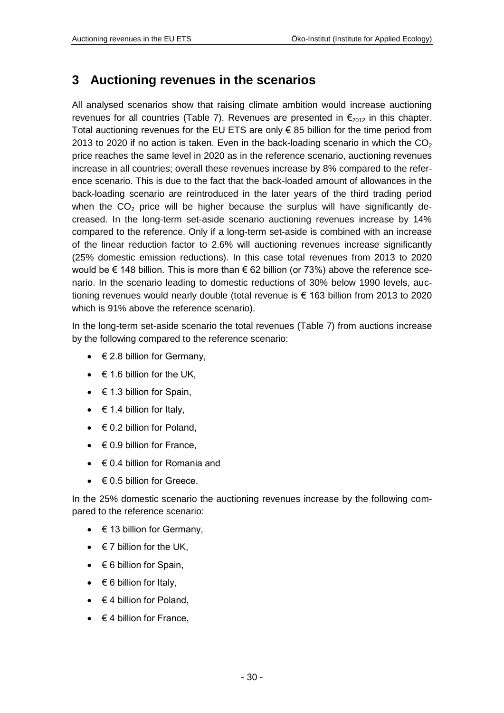### <span id="page-29-0"></span>**3 Auctioning revenues in the scenarios**

All analysed scenarios show that raising climate ambition would increase auctioning revenues for all countries [\(Table 7\)](#page-30-0). Revenues are presented in  $\epsilon_{2012}$  in this chapter. Total auctioning revenues for the EU ETS are only  $\epsilon$  85 billion for the time period from 2013 to 2020 if no action is taken. Even in the back-loading scenario in which the  $CO<sub>2</sub>$ price reaches the same level in 2020 as in the reference scenario, auctioning revenues increase in all countries; overall these revenues increase by 8% compared to the reference scenario. This is due to the fact that the back-loaded amount of allowances in the back-loading scenario are reintroduced in the later years of the third trading period when the  $CO<sub>2</sub>$  price will be higher because the surplus will have significantly decreased. In the long-term set-aside scenario auctioning revenues increase by 14% compared to the reference. Only if a long-term set-aside is combined with an increase of the linear reduction factor to 2.6% will auctioning revenues increase significantly (25% domestic emission reductions). In this case total revenues from 2013 to 2020 would be  $\epsilon$  148 billion. This is more than  $\epsilon$  62 billion (or 73%) above the reference scenario. In the scenario leading to domestic reductions of 30% below 1990 levels, auctioning revenues would nearly double (total revenue is € 163 billion from 2013 to 2020 which is 91% above the reference scenario).

In the long-term set-aside scenario the total revenues [\(Table 7\)](#page-30-0) from auctions increase by the following compared to the reference scenario:

- $\bullet \quad \in 2.8$  billion for Germany,
- $\bullet \quad \in 1.6$  billion for the UK,
- $\bullet \quad \in 1.3$  billion for Spain,
- $\bullet \quad \in$  1.4 billion for Italy,
- $\bullet \quad \in \mathbb{Q}$ . billion for Poland,
- $\bullet \quad \in 0.9$  billion for France.
- $\bullet \in \mathbb{C}$ .4 billion for Romania and
- $\bullet \quad \in 0.5$  billion for Greece.

In the 25% domestic scenario the auctioning revenues increase by the following compared to the reference scenario:

- $\bullet \quad \in$  13 billion for Germany,
- $\bullet \quad \in 7$  billion for the UK,
- $\bullet \quad \in 6$  billion for Spain,
- $\bullet \quad \in 6$  billion for Italy,
- $\bullet \quad \in 4$  billion for Poland,
- $\bullet \quad \in$  4 billion for France.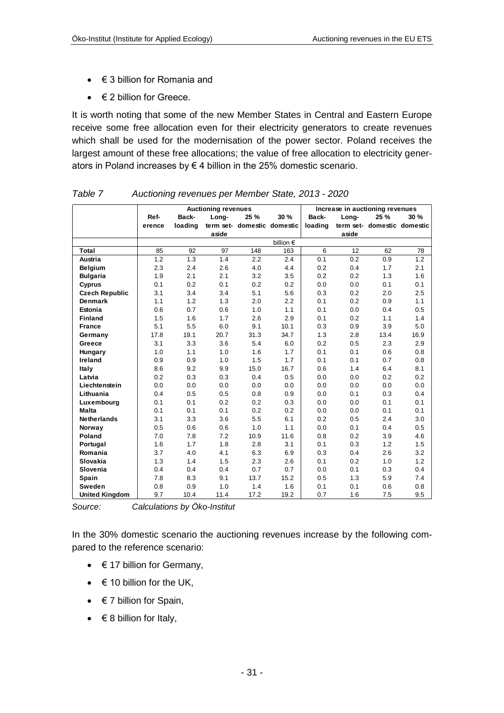- $\bullet \quad \in$  3 billion for Romania and
- $\bullet \quad \in$  2 billion for Greece.

It is worth noting that some of the new Member States in Central and Eastern Europe receive some free allocation even for their electricity generators to create revenues which shall be used for the modernisation of the power sector. Poland receives the largest amount of these free allocations; the value of free allocation to electricity generators in Poland increases by  $\epsilon$  4 billion in the 25% domestic scenario.

|                       |        |         | <b>Auctioning revenues</b> |                             |                    |         | Increase in auctioning revenues |                             |      |
|-----------------------|--------|---------|----------------------------|-----------------------------|--------------------|---------|---------------------------------|-----------------------------|------|
|                       | Ref-   | Back-   | Long-                      | 25 %                        | 30 %               | Back-   | Long-                           | 25 %                        | 30 % |
|                       | erence | loading |                            | term set- domestic domestic |                    | loading |                                 | term set- domestic domestic |      |
|                       |        |         | aside                      |                             |                    |         | aside                           |                             |      |
|                       |        |         |                            |                             | billion $\epsilon$ |         |                                 |                             |      |
| Total                 | 85     | 92      | 97                         | 148                         | 163                | 6       | 12                              | 62                          | 78   |
| Austria               | 1.2    | 1.3     | 1.4                        | 2.2                         | 2.4                | 0.1     | 0.2                             | 0.9                         | 1.2  |
| <b>Belgium</b>        | 2.3    | 2.4     | 2.6                        | 4.0                         | 4.4                | 0.2     | 0.4                             | 1.7                         | 2.1  |
| <b>Bulgaria</b>       | 1.9    | 2.1     | 2.1                        | 3.2                         | 3.5                | 0.2     | 0.2                             | 1.3                         | 1.6  |
| <b>Cyprus</b>         | 0.1    | 0.2     | 0.1                        | 0.2                         | 0.2                | 0.0     | 0.0                             | 0.1                         | 0.1  |
| <b>Czech Republic</b> | 3.1    | 3.4     | 3.4                        | 5.1                         | 5.6                | 0.3     | 0.2                             | 2.0                         | 2.5  |
| <b>Denmark</b>        | 1.1    | 1.2     | 1.3                        | 2.0                         | 2.2                | 0.1     | 0.2                             | 0.9                         | 1.1  |
| Estonia               | 0.6    | 0.7     | 0.6                        | 1.0                         | 1.1                | 0.1     | 0.0                             | 0.4                         | 0.5  |
| <b>Finland</b>        | 1.5    | 1.6     | 1.7                        | 2.6                         | 2.9                | 0.1     | 0.2                             | 1.1                         | 1.4  |
| <b>France</b>         | 5.1    | 5.5     | 6.0                        | 9.1                         | 10.1               | 0.3     | 0.9                             | 3.9                         | 5.0  |
| Germany               | 17.8   | 19.1    | 20.7                       | 31.3                        | 34.7               | 1.3     | 2.8                             | 13.4                        | 16.9 |
| Greece                | 3.1    | 3.3     | 3.6                        | 5.4                         | 6.0                | 0.2     | 0.5                             | 2.3                         | 2.9  |
| Hungary               | 1.0    | 1.1     | 1.0                        | 1.6                         | 1.7                | 0.1     | 0.1                             | 0.6                         | 0.8  |
| Ireland               | 0.9    | 0.9     | 1.0                        | 1.5                         | 1.7                | 0.1     | 0.1                             | 0.7                         | 0.8  |
| Italy                 | 8.6    | 9.2     | 9.9                        | 15.0                        | 16.7               | 0.6     | 1.4                             | 6.4                         | 8.1  |
| Latvia                | 0.2    | 0.3     | 0.3                        | 0.4                         | 0.5                | 0.0     | 0.0                             | 0.2                         | 0.2  |
| Liechtenstein         | 0.0    | 0.0     | 0.0                        | 0.0                         | 0.0                | 0.0     | 0.0                             | 0.0                         | 0.0  |
| Lithuania             | 0.4    | 0.5     | 0.5                        | 0.8                         | 0.9                | 0.0     | 0.1                             | 0.3                         | 0.4  |
| Luxembourg            | 0.1    | 0.1     | 0.2                        | 0.2                         | 0.3                | 0.0     | 0.0                             | 0.1                         | 0.1  |
| <b>Malta</b>          | 0.1    | 0.1     | 0.1                        | 0.2                         | 0.2                | 0.0     | 0.0                             | 0.1                         | 0.1  |
| <b>Netherlands</b>    | 3.1    | 3.3     | 3.6                        | 5.5                         | 6.1                | 0.2     | 0.5                             | 2.4                         | 3.0  |
| Norway                | 0.5    | 0.6     | 0.6                        | 1.0                         | 1.1                | 0.0     | 0.1                             | 0.4                         | 0.5  |
| Poland                | 7.0    | 7.8     | 7.2                        | 10.9                        | 11.6               | 0.8     | 0.2                             | 3.9                         | 4.6  |
| Portugal              | 1.6    | 1.7     | 1.8                        | 2.8                         | 3.1                | 0.1     | 0.3                             | 1.2                         | 1.5  |
| Romania               | 3.7    | 4.0     | 4.1                        | 6.3                         | 6.9                | 0.3     | 0.4                             | 2.6                         | 3.2  |
| Slovakia              | 1.3    | 1.4     | 1.5                        | 2.3                         | 2.6                | 0.1     | 0.2                             | 1.0                         | 1.2  |
| Slovenia              | 0.4    | 0.4     | 0.4                        | 0.7                         | 0.7                | 0.0     | 0.1                             | 0.3                         | 0.4  |
| Spain                 | 7.8    | 8.3     | 9.1                        | 13.7                        | 15.2               | 0.5     | 1.3                             | 5.9                         | 7.4  |
| Sweden                | 0.8    | 0.9     | 1.0                        | 1.4                         | 1.6                | 0.1     | 0.1                             | 0.6                         | 0.8  |
| <b>United Kingdom</b> | 9.7    | 10.4    | 11.4                       | 17.2                        | 19.2               | 0.7     | 1.6                             | 7.5                         | 9.5  |

<span id="page-30-0"></span>*Table 7 Auctioning revenues per Member State, 2013 - 2020*

*Source: Calculations by Öko-Institut*

In the 30% domestic scenario the auctioning revenues increase by the following compared to the reference scenario:

- $\bullet \quad \in$  17 billion for Germany,
- $\bullet \quad \in$  10 billion for the UK,
- $\bullet \quad \in$  7 billion for Spain,
- $\bullet \quad \in \mathsf{8}$  billion for Italy,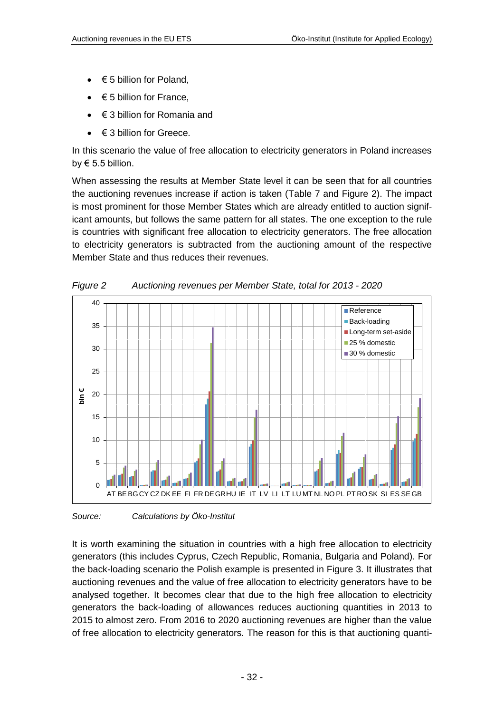- $\bullet \quad \in 5$  billion for Poland,
- € 5 billion for France,
- $\bullet \quad \in \mathcal{S}$  billion for Romania and
- $\bullet \quad \in$  3 billion for Greece.

In this scenario the value of free allocation to electricity generators in Poland increases by  $\epsilon$  5.5 billion.

When assessing the results at Member State level it can be seen that for all countries the auctioning revenues increase if action is taken [\(Table 7](#page-30-0) and [Figure 2\)](#page-31-0). The impact is most prominent for those Member States which are already entitled to auction significant amounts, but follows the same pattern for all states. The one exception to the rule is countries with significant free allocation to electricity generators. The free allocation to electricity generators is subtracted from the auctioning amount of the respective Member State and thus reduces their revenues.



<span id="page-31-0"></span>*Figure 2 Auctioning revenues per Member State, total for 2013 - 2020*

*Source: Calculations by Öko-Institut*

It is worth examining the situation in countries with a high free allocation to electricity generators (this includes Cyprus, Czech Republic, Romania, Bulgaria and Poland). For the back-loading scenario the Polish example is presented in [Figure 3.](#page-32-0) It illustrates that auctioning revenues and the value of free allocation to electricity generators have to be analysed together. It becomes clear that due to the high free allocation to electricity generators the back-loading of allowances reduces auctioning quantities in 2013 to 2015 to almost zero. From 2016 to 2020 auctioning revenues are higher than the value of free allocation to electricity generators. The reason for this is that auctioning quanti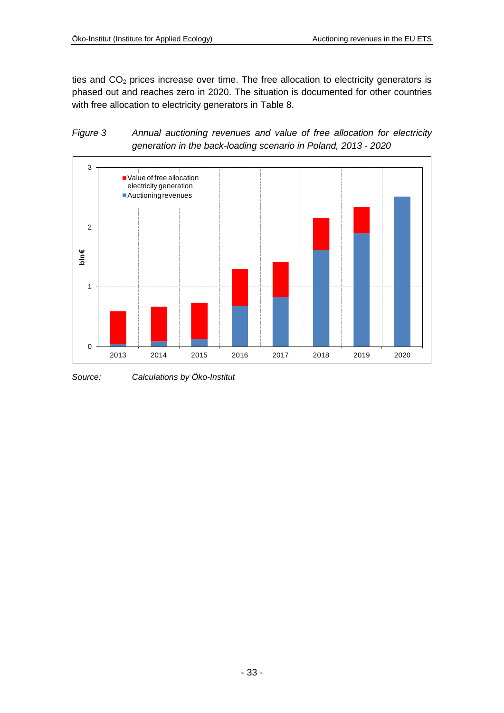ties and  $CO<sub>2</sub>$  prices increase over time. The free allocation to electricity generators is phased out and reaches zero in 2020. The situation is documented for other countries with free allocation to electricity generators in [Table 8.](#page-33-0)

<span id="page-32-0"></span>



*Source: Calculations by Öko-Institut*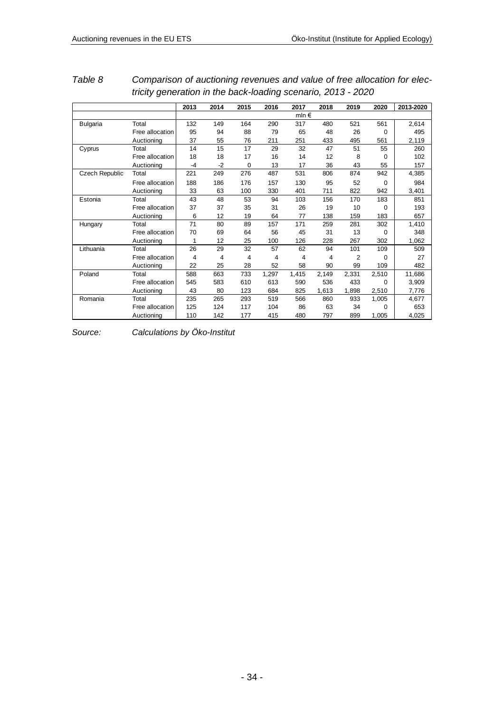|                       |                 | 2013           | 2014 | 2015     | 2016  | 2017           | 2018  | 2019  | 2020  | 2013-2020 |
|-----------------------|-----------------|----------------|------|----------|-------|----------------|-------|-------|-------|-----------|
|                       |                 |                |      |          |       | mln $\epsilon$ |       |       |       |           |
| <b>Bulgaria</b>       | Total           | 132            | 149  | 164      | 290   | 317            | 480   | 521   | 561   | 2,614     |
|                       | Free allocation | 95             | 94   | 88       | 79    | 65             | 48    | 26    | 0     | 495       |
|                       | Auctioning      | 37             | 55   | 76       | 211   | 251            | 433   | 495   | 561   | 2,119     |
| Cyprus                | Total           | 14             | 15   | 17       | 29    | 32             | 47    | 51    | 55    | 260       |
|                       | Free allocation | 18             | 18   | 17       | 16    | 14             | 12    | 8     | 0     | 102       |
|                       | Auctioning      | -4             | $-2$ | $\Omega$ | 13    | 17             | 36    | 43    | 55    | 157       |
| <b>Czech Republic</b> | Total           | 221            | 249  | 276      | 487   | 531            | 806   | 874   | 942   | 4,385     |
|                       | Free allocation | 188            | 186  | 176      | 157   | 130            | 95    | 52    | 0     | 984       |
|                       | Auctioning      | 33             | 63   | 100      | 330   | 401            | 711   | 822   | 942   | 3,401     |
| Estonia               | Total           | 43             | 48   | 53       | 94    | 103            | 156   | 170   | 183   | 851       |
|                       | Free allocation | 37             | 37   | 35       | 31    | 26             | 19    | 10    | 0     | 193       |
|                       | Auctioning      | 6              | 12   | 19       | 64    | 77             | 138   | 159   | 183   | 657       |
| Hungary               | Total           | 71             | 80   | 89       | 157   | 171            | 259   | 281   | 302   | 1,410     |
|                       | Free allocation | 70             | 69   | 64       | 56    | 45             | 31    | 13    | 0     | 348       |
|                       | Auctioning      | 1              | 12   | 25       | 100   | 126            | 228   | 267   | 302   | 1,062     |
| Lithuania             | Total           | 26             | 29   | 32       | 57    | 62             | 94    | 101   | 109   | 509       |
|                       | Free allocation | $\overline{4}$ | 4    | 4        | 4     | 4              | 4     | 2     | 0     | 27        |
|                       | Auctioning      | 22             | 25   | 28       | 52    | 58             | 90    | 99    | 109   | 482       |
| Poland                | Total           | 588            | 663  | 733      | 1,297 | 1,415          | 2,149 | 2,331 | 2,510 | 11,686    |
|                       | Free allocation | 545            | 583  | 610      | 613   | 590            | 536   | 433   | 0     | 3,909     |
|                       | Auctioning      | 43             | 80   | 123      | 684   | 825            | 1,613 | 1,898 | 2,510 | 7,776     |
| Romania               | Total           | 235            | 265  | 293      | 519   | 566            | 860   | 933   | 1,005 | 4,677     |
|                       | Free allocation | 125            | 124  | 117      | 104   | 86             | 63    | 34    | 0     | 653       |
|                       | Auctioning      | 110            | 142  | 177      | 415   | 480            | 797   | 899   | 1,005 | 4,025     |

<span id="page-33-0"></span>*Table 8 Comparison of auctioning revenues and value of free allocation for electricity generation in the back-loading scenario, 2013 - 2020*

*Source: Calculations by Öko-Institut*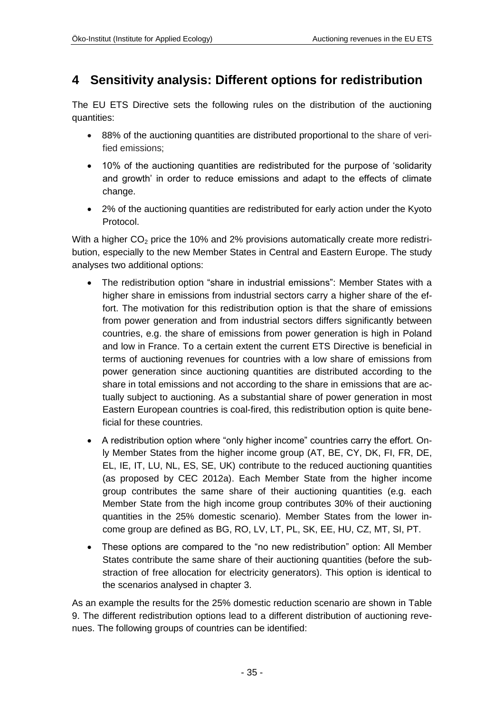### <span id="page-34-0"></span>**4 Sensitivity analysis: Different options for redistribution**

The EU ETS Directive sets the following rules on the distribution of the auctioning quantities:

- 88% of the auctioning quantities are distributed proportional to the share of verified emissions;
- 10% of the auctioning quantities are redistributed for the purpose of 'solidarity and growth' in order to reduce emissions and adapt to the effects of climate change.
- 2% of the auctioning quantities are redistributed for early action under the Kyoto Protocol.

With a higher  $CO<sub>2</sub>$  price the 10% and 2% provisions automatically create more redistribution, especially to the new Member States in Central and Eastern Europe. The study analyses two additional options:

- The redistribution option "share in industrial emissions": Member States with a higher share in emissions from industrial sectors carry a higher share of the effort. The motivation for this redistribution option is that the share of emissions from power generation and from industrial sectors differs significantly between countries, e.g. the share of emissions from power generation is high in Poland and low in France. To a certain extent the current ETS Directive is beneficial in terms of auctioning revenues for countries with a low share of emissions from power generation since auctioning quantities are distributed according to the share in total emissions and not according to the share in emissions that are actually subject to auctioning. As a substantial share of power generation in most Eastern European countries is coal-fired, this redistribution option is quite beneficial for these countries.
- A redistribution option where "only higher income" countries carry the effort. Only Member States from the higher income group (AT, BE, CY, DK, FI, FR, DE, EL, IE, IT, LU, NL, ES, SE, UK) contribute to the reduced auctioning quantities (as proposed by CEC 2012a). Each Member State from the higher income group contributes the same share of their auctioning quantities (e.g. each Member State from the high income group contributes 30% of their auctioning quantities in the 25% domestic scenario). Member States from the lower income group are defined as BG, RO, LV, LT, PL, SK, EE, HU, CZ, MT, SI, PT.
- These options are compared to the "no new redistribution" option: All Member States contribute the same share of their auctioning quantities (before the substraction of free allocation for electricity generators). This option is identical to the scenarios analysed in chapter [3.](#page-29-0)

As an example the results for the 25% domestic reduction scenario are shown in [Table](#page-36-0)  [9.](#page-36-0) The different redistribution options lead to a different distribution of auctioning revenues. The following groups of countries can be identified: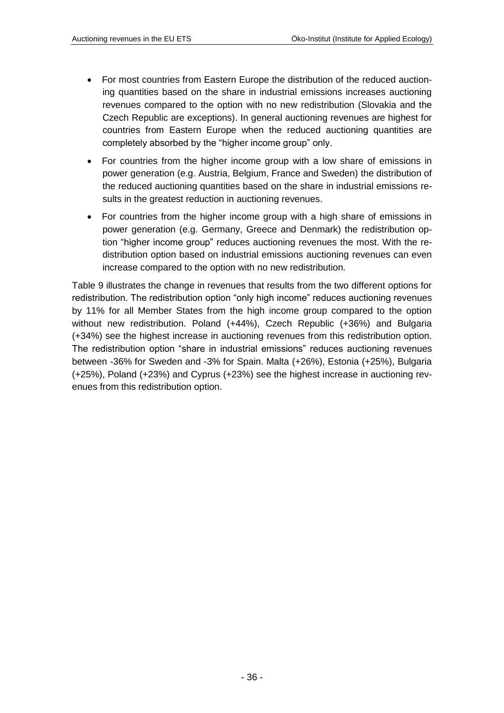- For most countries from Eastern Europe the distribution of the reduced auctioning quantities based on the share in industrial emissions increases auctioning revenues compared to the option with no new redistribution (Slovakia and the Czech Republic are exceptions). In general auctioning revenues are highest for countries from Eastern Europe when the reduced auctioning quantities are completely absorbed by the "higher income group" only.
- For countries from the higher income group with a low share of emissions in power generation (e.g. Austria, Belgium, France and Sweden) the distribution of the reduced auctioning quantities based on the share in industrial emissions results in the greatest reduction in auctioning revenues.
- For countries from the higher income group with a high share of emissions in power generation (e.g. Germany, Greece and Denmark) the redistribution option "higher income group" reduces auctioning revenues the most. With the redistribution option based on industrial emissions auctioning revenues can even increase compared to the option with no new redistribution.

[Table 9](#page-36-0) illustrates the change in revenues that results from the two different options for redistribution. The redistribution option "only high income" reduces auctioning revenues by 11% for all Member States from the high income group compared to the option without new redistribution. Poland (+44%), Czech Republic (+36%) and Bulgaria (+34%) see the highest increase in auctioning revenues from this redistribution option. The redistribution option "share in industrial emissions" reduces auctioning revenues between -36% for Sweden and -3% for Spain. Malta (+26%), Estonia (+25%), Bulgaria (+25%), Poland (+23%) and Cyprus (+23%) see the highest increase in auctioning revenues from this redistribution option.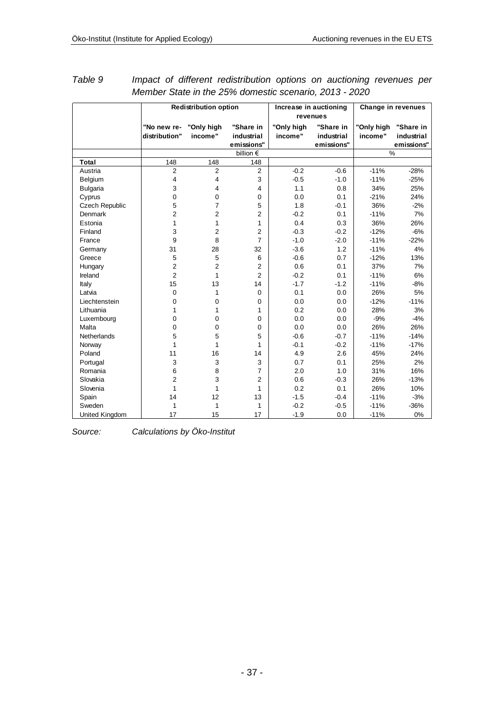|                       |                              | <b>Redistribution option</b> |                                       |                       | Increase in auctioning<br>revenues    | Change in revenues    |                                       |  |
|-----------------------|------------------------------|------------------------------|---------------------------------------|-----------------------|---------------------------------------|-----------------------|---------------------------------------|--|
|                       | "No new re-<br>distribution" | "Only high<br>income"        | "Share in<br>industrial<br>emissions" | "Only high<br>income" | "Share in<br>industrial<br>emissions" | "Only high<br>income" | "Share in<br>industrial<br>emissions" |  |
|                       |                              |                              | billion $\epsilon$                    |                       |                                       | %                     |                                       |  |
| <b>Total</b>          | 148                          | 148                          | 148                                   |                       |                                       |                       |                                       |  |
| Austria               | $\overline{2}$               | $\overline{2}$               | $\overline{2}$                        | $-0.2$                | $-0.6$                                | $-11%$                | $-28%$                                |  |
| Belgium               | 4                            | 4                            | 3                                     | $-0.5$                | $-1.0$                                | $-11%$                | $-25%$                                |  |
| <b>Bulgaria</b>       | 3                            | 4                            | 4                                     | 1.1                   | 0.8                                   | 34%                   | 25%                                   |  |
| Cyprus                | 0                            | $\mathbf 0$                  | 0                                     | 0.0                   | 0.1                                   | $-21%$                | 24%                                   |  |
| <b>Czech Republic</b> | 5                            | $\overline{7}$               | 5                                     | 1.8                   | $-0.1$                                | 36%                   | $-2%$                                 |  |
| Denmark               | 2                            | $\overline{2}$               | $\overline{2}$                        | $-0.2$                | 0.1                                   | $-11%$                | 7%                                    |  |
| Estonia               | 1                            | 1                            | $\mathbf{1}$                          | 0.4                   | 0.3                                   | 36%                   | 26%                                   |  |
| Finland               | 3                            | $\overline{\mathbf{c}}$      | $\overline{2}$                        | $-0.3$                | $-0.2$                                | $-12%$                | $-6%$                                 |  |
| France                | 9                            | 8                            | $\overline{7}$                        | $-1.0$                | $-2.0$                                | $-11%$                | $-22%$                                |  |
| Germany               | 31                           | 28                           | 32                                    | $-3.6$                | 1.2                                   | $-11%$                | 4%                                    |  |
| Greece                | $\mathbf 5$                  | 5                            | 6                                     | $-0.6$                | 0.7                                   | $-12%$                | 13%                                   |  |
| Hungary               | $\overline{\mathbf{c}}$      | $\overline{2}$               | 2                                     | 0.6                   | 0.1                                   | 37%                   | 7%                                    |  |
| Ireland               | $\overline{2}$               | 1                            | $\overline{2}$                        | $-0.2$                | 0.1                                   | $-11%$                | 6%                                    |  |
| Italy                 | 15                           | 13                           | 14                                    | $-1.7$                | $-1.2$                                | $-11%$                | $-8%$                                 |  |
| Latvia                | $\mathbf 0$                  | 1                            | $\mathbf 0$                           | 0.1                   | 0.0                                   | 26%                   | 5%                                    |  |
| Liechtenstein         | $\mathbf 0$                  | $\mathbf 0$                  | 0                                     | 0.0                   | 0.0                                   | $-12%$                | $-11%$                                |  |
| Lithuania             | 1                            | 1                            | 1                                     | 0.2                   | 0.0                                   | 28%                   | 3%                                    |  |
| Luxembourg            | $\mathbf 0$                  | $\mathbf 0$                  | $\mathbf 0$                           | 0.0                   | 0.0                                   | $-9%$                 | $-4%$                                 |  |
| Malta                 | 0                            | $\mathbf 0$                  | 0                                     | 0.0                   | 0.0                                   | 26%                   | 26%                                   |  |
| Netherlands           | 5                            | 5                            | 5                                     | $-0.6$                | $-0.7$                                | $-11%$                | $-14%$                                |  |
| Norway                | 1                            | $\mathbf{1}$                 | $\mathbf{1}$                          | $-0.1$                | $-0.2$                                | $-11%$                | $-17%$                                |  |
| Poland                | 11                           | 16                           | 14                                    | 4.9                   | 2.6                                   | 45%                   | 24%                                   |  |
| Portugal              | 3                            | 3                            | 3                                     | 0.7                   | 0.1                                   | 25%                   | 2%                                    |  |
| Romania               | 6                            | 8                            | $\overline{7}$                        | 2.0                   | 1.0                                   | 31%                   | 16%                                   |  |
| Slovakia              | $\overline{2}$               | 3                            | $\overline{2}$                        | 0.6                   | $-0.3$                                | 26%                   | $-13%$                                |  |
| Slovenia              | 1                            | $\mathbf{1}$                 | $\mathbf{1}$                          | 0.2                   | 0.1                                   | 26%                   | 10%                                   |  |
| Spain                 | 14                           | 12                           | 13                                    | $-1.5$                | $-0.4$                                | $-11%$                | $-3%$                                 |  |
| Sweden                | 1                            | $\mathbf{1}$                 | $\mathbf{1}$                          | $-0.2$                | $-0.5$                                | $-11%$                | $-36%$                                |  |
| United Kingdom        | 17                           | 15                           | 17                                    | $-1.9$                | 0.0                                   | $-11%$                | 0%                                    |  |

<span id="page-36-0"></span>

| Table 9 |                                                        |  |  | Impact of different redistribution options on auctioning revenues per |  |  |  |  |
|---------|--------------------------------------------------------|--|--|-----------------------------------------------------------------------|--|--|--|--|
|         | Member State in the 25% domestic scenario, 2013 - 2020 |  |  |                                                                       |  |  |  |  |

*Source: Calculations by Öko-Institut*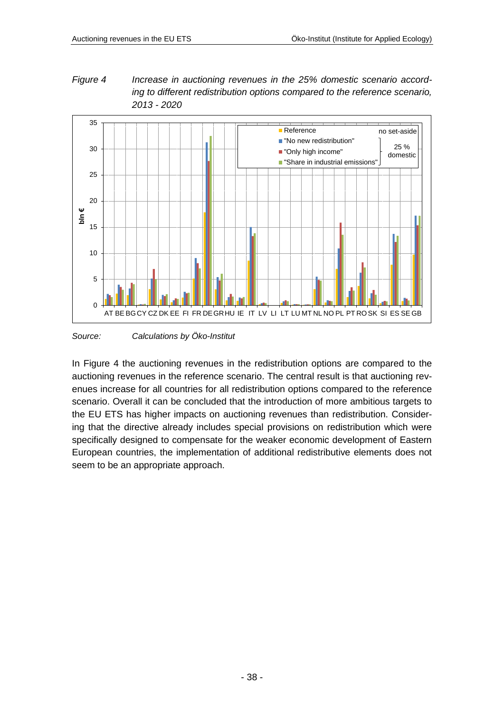<span id="page-37-0"></span>*Figure 4 Increase in auctioning revenues in the 25% domestic scenario according to different redistribution options compared to the reference scenario, 2013 - 2020*



*Source: Calculations by Öko-Institut*

In [Figure 4](#page-37-0) the auctioning revenues in the redistribution options are compared to the auctioning revenues in the reference scenario. The central result is that auctioning revenues increase for all countries for all redistribution options compared to the reference scenario. Overall it can be concluded that the introduction of more ambitious targets to the EU ETS has higher impacts on auctioning revenues than redistribution. Considering that the directive already includes special provisions on redistribution which were specifically designed to compensate for the weaker economic development of Eastern European countries, the implementation of additional redistributive elements does not seem to be an appropriate approach.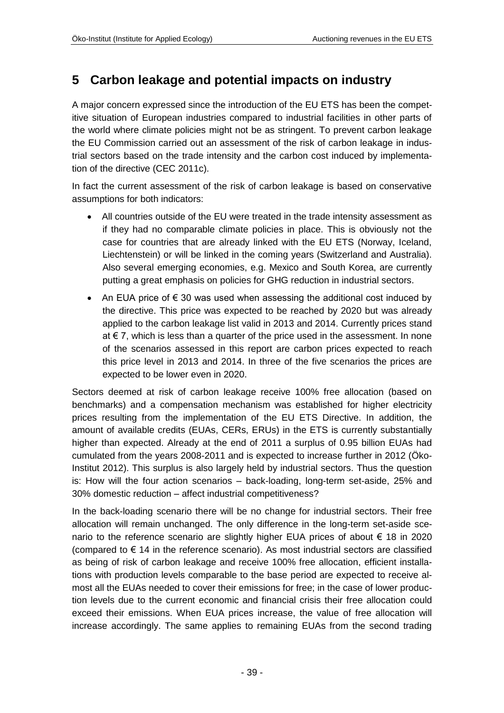## <span id="page-38-0"></span>**5 Carbon leakage and potential impacts on industry**

A major concern expressed since the introduction of the EU ETS has been the competitive situation of European industries compared to industrial facilities in other parts of the world where climate policies might not be as stringent. To prevent carbon leakage the EU Commission carried out an assessment of the risk of carbon leakage in industrial sectors based on the trade intensity and the carbon cost induced by implementation of the directive (CEC 2011c).

In fact the current assessment of the risk of carbon leakage is based on conservative assumptions for both indicators:

- All countries outside of the EU were treated in the trade intensity assessment as if they had no comparable climate policies in place. This is obviously not the case for countries that are already linked with the EU ETS (Norway, Iceland, Liechtenstein) or will be linked in the coming years (Switzerland and Australia). Also several emerging economies, e.g. Mexico and South Korea, are currently putting a great emphasis on policies for GHG reduction in industrial sectors.
- An EUA price of €30 was used when assessing the additional cost induced by the directive. This price was expected to be reached by 2020 but was already applied to the carbon leakage list valid in 2013 and 2014. Currently prices stand at € 7, which is less than a quarter of the price used in the assessment. In none of the scenarios assessed in this report are carbon prices expected to reach this price level in 2013 and 2014. In three of the five scenarios the prices are expected to be lower even in 2020.

Sectors deemed at risk of carbon leakage receive 100% free allocation (based on benchmarks) and a compensation mechanism was established for higher electricity prices resulting from the implementation of the EU ETS Directive. In addition, the amount of available credits (EUAs, CERs, ERUs) in the ETS is currently substantially higher than expected. Already at the end of 2011 a surplus of 0.95 billion EUAs had cumulated from the years 2008-2011 and is expected to increase further in 2012 (Öko-Institut 2012). This surplus is also largely held by industrial sectors. Thus the question is: How will the four action scenarios – back-loading, long-term set-aside, 25% and 30% domestic reduction – affect industrial competitiveness?

In the back-loading scenario there will be no change for industrial sectors. Their free allocation will remain unchanged. The only difference in the long-term set-aside scenario to the reference scenario are slightly higher EUA prices of about € 18 in 2020 (compared to  $\epsilon$  14 in the reference scenario). As most industrial sectors are classified as being of risk of carbon leakage and receive 100% free allocation, efficient installations with production levels comparable to the base period are expected to receive almost all the EUAs needed to cover their emissions for free; in the case of lower production levels due to the current economic and financial crisis their free allocation could exceed their emissions. When EUA prices increase, the value of free allocation will increase accordingly. The same applies to remaining EUAs from the second trading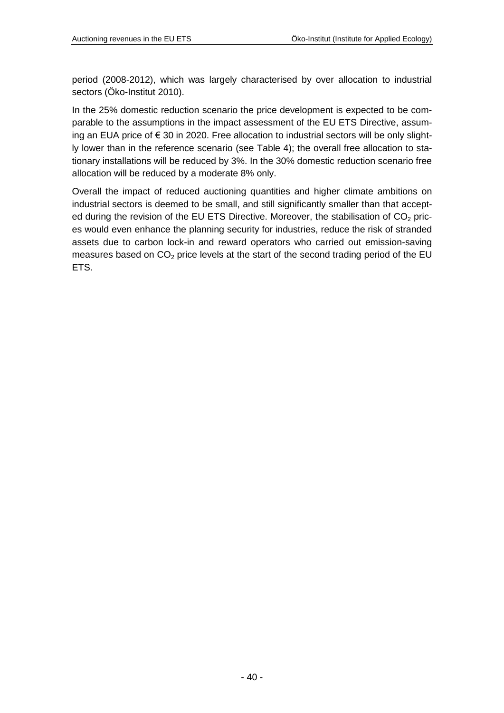period (2008-2012), which was largely characterised by over allocation to industrial sectors (Öko-Institut 2010).

In the 25% domestic reduction scenario the price development is expected to be comparable to the assumptions in the impact assessment of the EU ETS Directive, assuming an EUA price of € 30 in 2020. Free allocation to industrial sectors will be only slightly lower than in the reference scenario (see [Table 4\)](#page-25-0); the overall free allocation to stationary installations will be reduced by 3%. In the 30% domestic reduction scenario free allocation will be reduced by a moderate 8% only.

Overall the impact of reduced auctioning quantities and higher climate ambitions on industrial sectors is deemed to be small, and still significantly smaller than that accepted during the revision of the EU ETS Directive. Moreover, the stabilisation of  $CO<sub>2</sub>$  prices would even enhance the planning security for industries, reduce the risk of stranded assets due to carbon lock-in and reward operators who carried out emission-saving measures based on  $CO<sub>2</sub>$  price levels at the start of the second trading period of the EU ETS.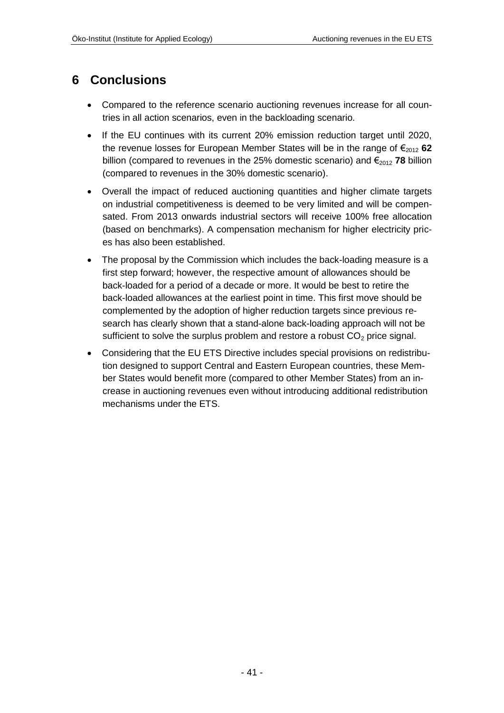### <span id="page-40-0"></span>**6 Conclusions**

- Compared to the reference scenario auctioning revenues increase for all countries in all action scenarios, even in the backloading scenario.
- If the EU continues with its current 20% emission reduction target until 2020, the revenue losses for European Member States will be in the range of  $\epsilon_{2012}$  62 billion (compared to revenues in the 25% domestic scenario) and  $\epsilon_{2012}$  **78** billion (compared to revenues in the 30% domestic scenario).
- Overall the impact of reduced auctioning quantities and higher climate targets on industrial competitiveness is deemed to be very limited and will be compensated. From 2013 onwards industrial sectors will receive 100% free allocation (based on benchmarks). A compensation mechanism for higher electricity prices has also been established.
- The proposal by the Commission which includes the back-loading measure is a first step forward; however, the respective amount of allowances should be back-loaded for a period of a decade or more. It would be best to retire the back-loaded allowances at the earliest point in time. This first move should be complemented by the adoption of higher reduction targets since previous research has clearly shown that a stand-alone back-loading approach will not be sufficient to solve the surplus problem and restore a robust  $CO<sub>2</sub>$  price signal.
- Considering that the EU ETS Directive includes special provisions on redistribution designed to support Central and Eastern European countries, these Member States would benefit more (compared to other Member States) from an increase in auctioning revenues even without introducing additional redistribution mechanisms under the ETS.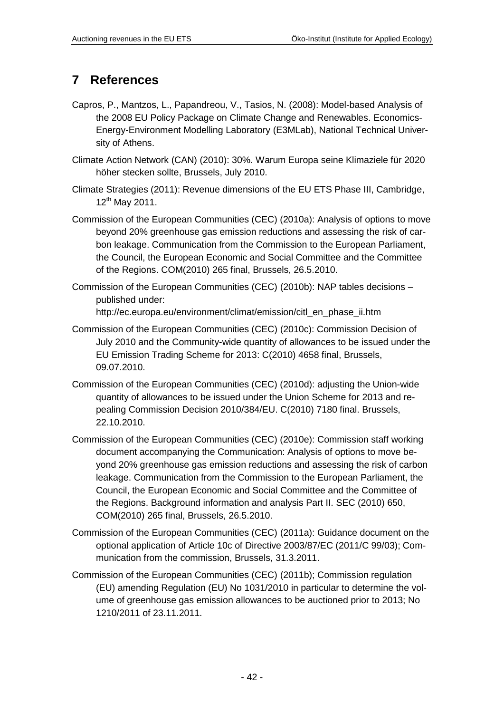## <span id="page-41-0"></span>**7 References**

- Capros, P., Mantzos, L., Papandreou, V., Tasios, N. (2008): Model-based Analysis of the 2008 EU Policy Package on Climate Change and Renewables. Economics-Energy-Environment Modelling Laboratory (E3MLab), National Technical University of Athens.
- Climate Action Network (CAN) (2010): 30%. Warum Europa seine Klimaziele für 2020 höher stecken sollte, Brussels, July 2010.
- Climate Strategies (2011): Revenue dimensions of the EU ETS Phase III, Cambridge,  $12^{th}$  May 2011.
- Commission of the European Communities (CEC) (2010a): Analysis of options to move beyond 20% greenhouse gas emission reductions and assessing the risk of carbon leakage. Communication from the Commission to the European Parliament, the Council, the European Economic and Social Committee and the Committee of the Regions. COM(2010) 265 final, Brussels, 26.5.2010.
- Commission of the European Communities (CEC) (2010b): NAP tables decisions published under: [http://ec.europa.eu/environment/climat/emission/citl\\_en\\_phase\\_ii.htm](http://ec.europa.eu/environment/climat/emission/citl_en_phase_ii.htm)
- Commission of the European Communities (CEC) (2010c): Commission Decision of July 2010 and the Community-wide quantity of allowances to be issued under the EU Emission Trading Scheme for 2013: C(2010) 4658 final, Brussels, 09.07.2010.
- Commission of the European Communities (CEC) (2010d): adjusting the Union-wide quantity of allowances to be issued under the Union Scheme for 2013 and repealing Commission Decision 2010/384/EU. C(2010) 7180 final. Brussels, 22.10.2010.
- Commission of the European Communities (CEC) (2010e): Commission staff working document accompanying the Communication: Analysis of options to move beyond 20% greenhouse gas emission reductions and assessing the risk of carbon leakage. Communication from the Commission to the European Parliament, the Council, the European Economic and Social Committee and the Committee of the Regions. Background information and analysis Part II. SEC (2010) 650, COM(2010) 265 final, Brussels, 26.5.2010.
- Commission of the European Communities (CEC) (2011a): Guidance document on the optional application of Article 10c of Directive 2003/87/EC (2011/C 99/03); Communication from the commission, Brussels, 31.3.2011.
- Commission of the European Communities (CEC) (2011b); Commission regulation (EU) amending Regulation (EU) No 1031/2010 in particular to determine the volume of greenhouse gas emission allowances to be auctioned prior to 2013; No 1210/2011 of 23.11.2011.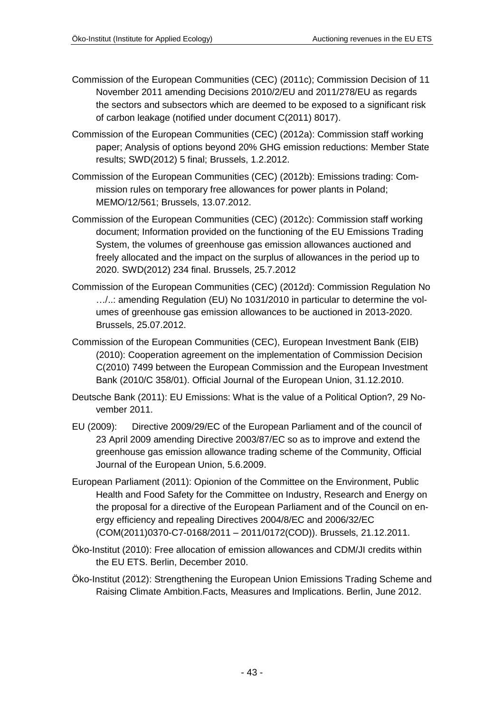- Commission of the European Communities (CEC) (2011c); Commission Decision of 11 November 2011 amending Decisions 2010/2/EU and 2011/278/EU as regards the sectors and subsectors which are deemed to be exposed to a significant risk of carbon leakage (notified under document C(2011) 8017).
- Commission of the European Communities (CEC) (2012a): Commission staff working paper; Analysis of options beyond 20% GHG emission reductions: Member State results; SWD(2012) 5 final; Brussels, 1.2.2012.
- Commission of the European Communities (CEC) (2012b): Emissions trading: Commission rules on temporary free allowances for power plants in Poland; MEMO/12/561; Brussels, 13.07.2012.
- Commission of the European Communities (CEC) (2012c): Commission staff working document; Information provided on the functioning of the EU Emissions Trading System, the volumes of greenhouse gas emission allowances auctioned and freely allocated and the impact on the surplus of allowances in the period up to 2020. SWD(2012) 234 final. Brussels, 25.7.2012
- Commission of the European Communities (CEC) (2012d): Commission Regulation No …/..: amending Regulation (EU) No 1031/2010 in particular to determine the volumes of greenhouse gas emission allowances to be auctioned in 2013-2020. Brussels, 25.07.2012.
- Commission of the European Communities (CEC), European Investment Bank (EIB) (2010): Cooperation agreement on the implementation of Commission Decision C(2010) 7499 between the European Commission and the European Investment Bank (2010/C 358/01). Official Journal of the European Union, 31.12.2010.
- Deutsche Bank (2011): EU Emissions: What is the value of a Political Option?, 29 November 2011.
- EU (2009): Directive 2009/29/EC of the European Parliament and of the council of 23 April 2009 amending Directive 2003/87/EC so as to improve and extend the greenhouse gas emission allowance trading scheme of the Community, Official Journal of the European Union, 5.6.2009.
- European Parliament (2011): Opionion of the Committee on the Environment, Public Health and Food Safety for the Committee on Industry, Research and Energy on the proposal for a directive of the European Parliament and of the Council on energy efficiency and repealing Directives 2004/8/EC and 2006/32/EC (COM(2011)0370-C7-0168/2011 – 2011/0172(COD)). Brussels, 21.12.2011.
- Öko-Institut (2010): Free allocation of emission allowances and CDM/JI credits within the EU ETS. Berlin, December 2010.
- Öko-Institut (2012): Strengthening the European Union Emissions Trading Scheme and Raising Climate Ambition.Facts, Measures and Implications. Berlin, June 2012.